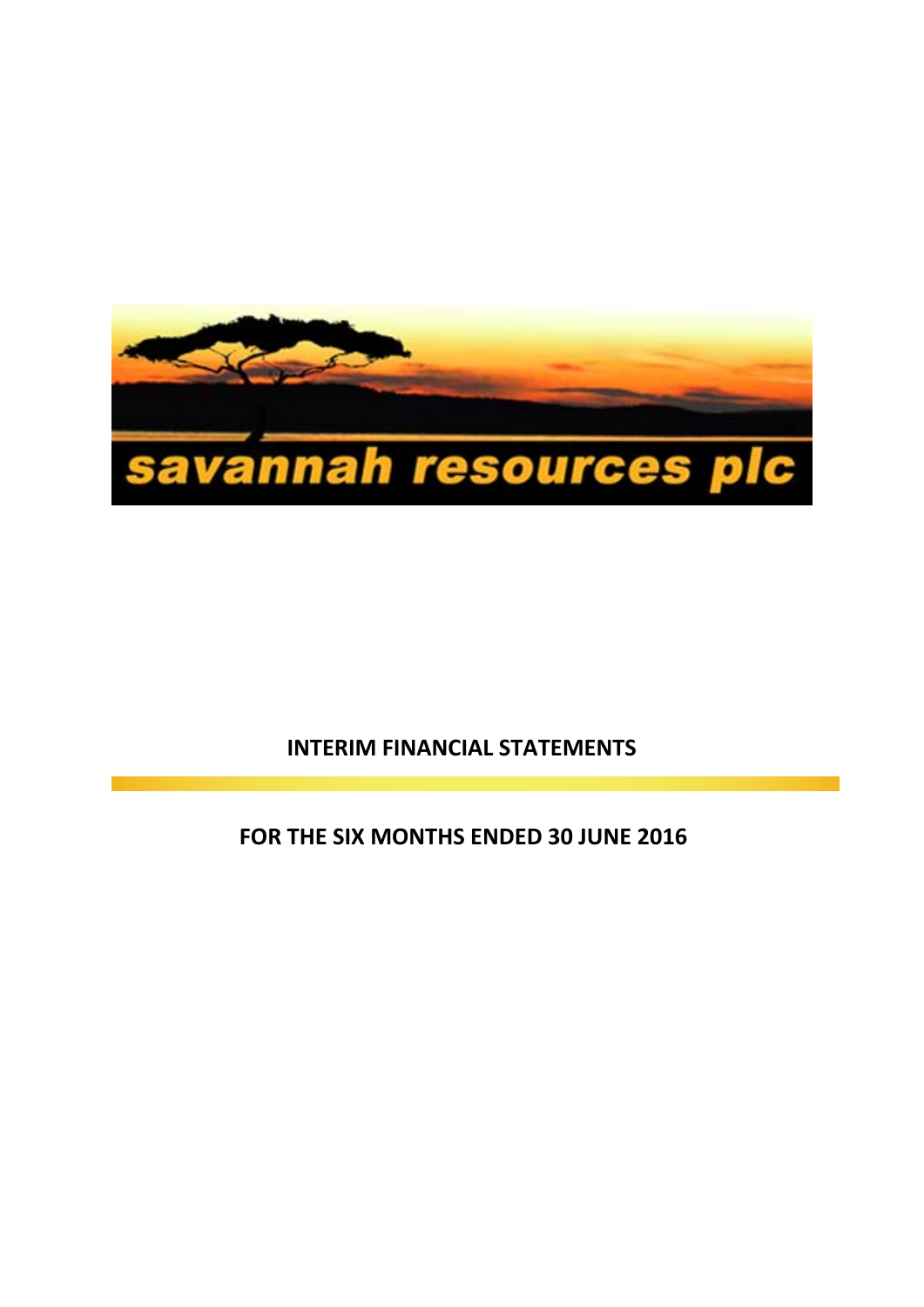

# **INTERIM FINANCIAL STATEMENTS**

**FOR THE SIX MONTHS ENDED 30 JUNE 2016**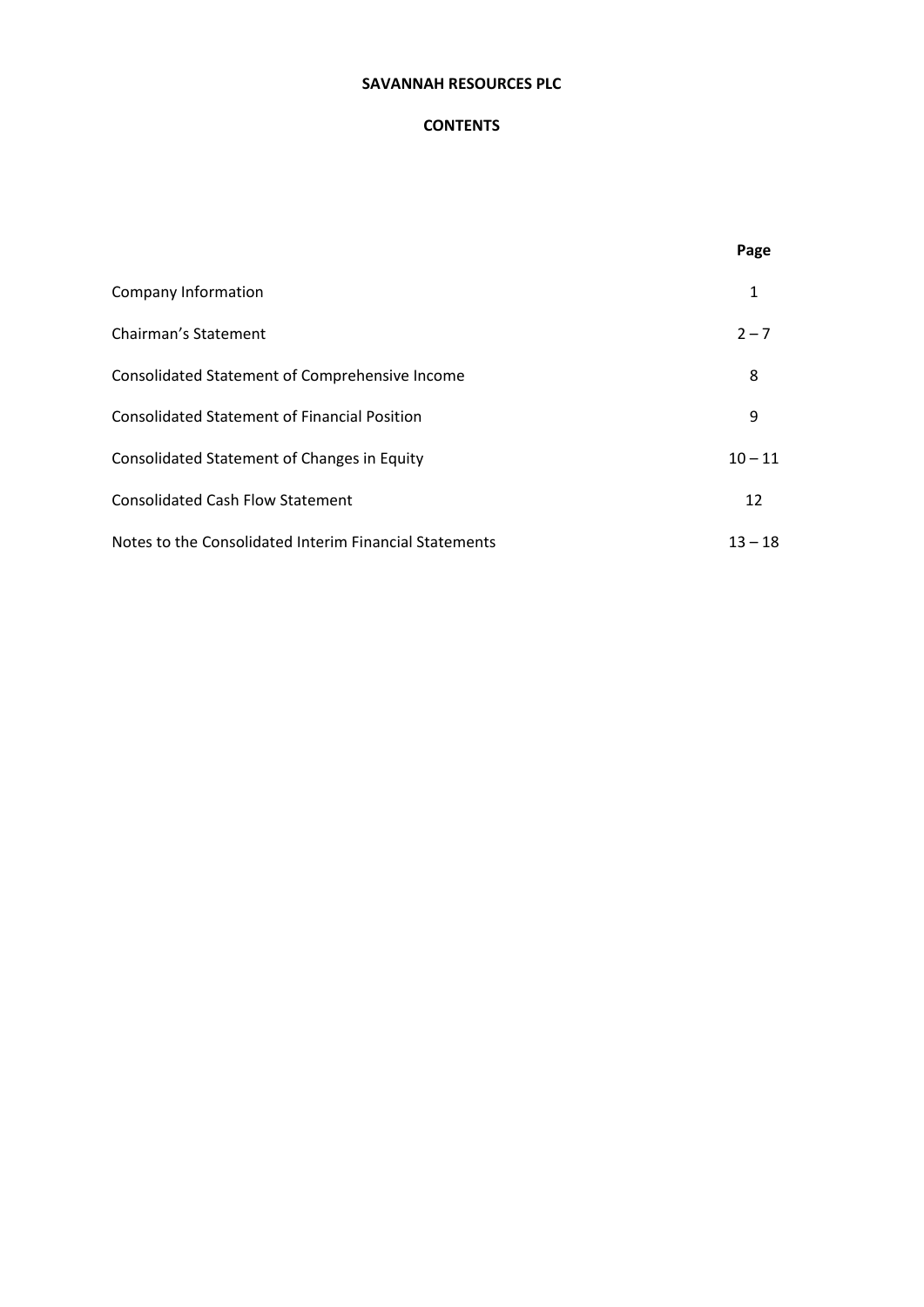# **CONTENTS**

|                                                        | Page      |
|--------------------------------------------------------|-----------|
| Company Information                                    | 1         |
| Chairman's Statement                                   | $2 - 7$   |
| Consolidated Statement of Comprehensive Income         | 8         |
| <b>Consolidated Statement of Financial Position</b>    | 9         |
| Consolidated Statement of Changes in Equity            | $10 - 11$ |
| <b>Consolidated Cash Flow Statement</b>                | 12        |
| Notes to the Consolidated Interim Financial Statements | $13 - 18$ |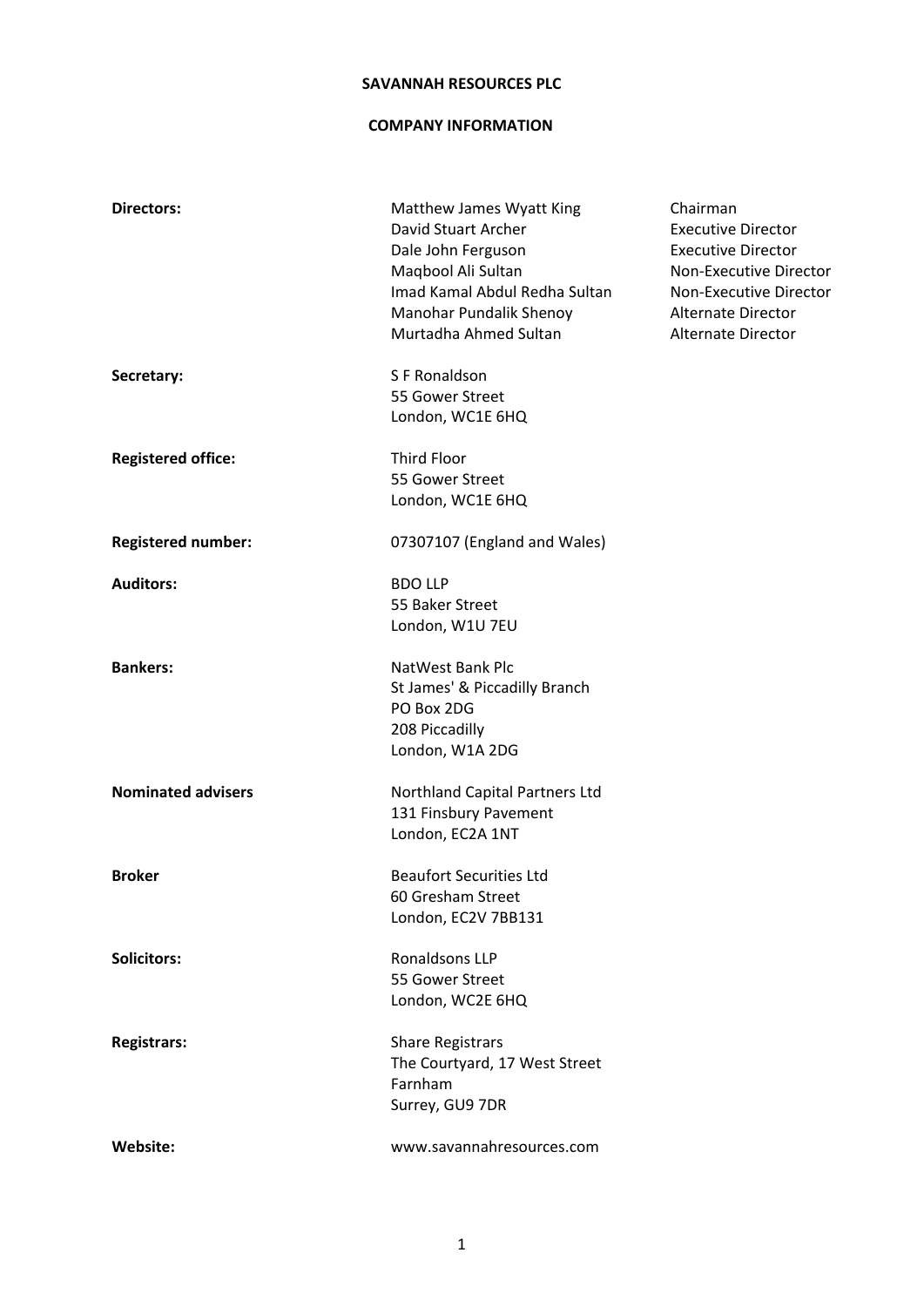### **COMPANY INFORMATION**

| <b>Directors:</b>         | Matthew James Wyatt King<br>David Stuart Archer<br>Dale John Ferguson<br>Maqbool Ali Sultan<br>Imad Kamal Abdul Redha Sultan<br>Manohar Pundalik Shenoy<br>Murtadha Ahmed Sultan | Chairman<br><b>Executive Director</b><br><b>Executive Director</b><br>Non-Executive Director<br>Non-Executive Director<br><b>Alternate Director</b><br>Alternate Director |
|---------------------------|----------------------------------------------------------------------------------------------------------------------------------------------------------------------------------|---------------------------------------------------------------------------------------------------------------------------------------------------------------------------|
| Secretary:                | S F Ronaldson<br>55 Gower Street<br>London, WC1E 6HQ                                                                                                                             |                                                                                                                                                                           |
| <b>Registered office:</b> | <b>Third Floor</b><br>55 Gower Street<br>London, WC1E 6HQ                                                                                                                        |                                                                                                                                                                           |
| <b>Registered number:</b> | 07307107 (England and Wales)                                                                                                                                                     |                                                                                                                                                                           |
| <b>Auditors:</b>          | <b>BDO LLP</b><br>55 Baker Street<br>London, W1U 7EU                                                                                                                             |                                                                                                                                                                           |
| <b>Bankers:</b>           | NatWest Bank Plc<br>St James' & Piccadilly Branch<br>PO Box 2DG<br>208 Piccadilly<br>London, W1A 2DG                                                                             |                                                                                                                                                                           |
| <b>Nominated advisers</b> | Northland Capital Partners Ltd<br>131 Finsbury Pavement<br>London, EC2A 1NT                                                                                                      |                                                                                                                                                                           |
| <b>Broker</b>             | <b>Beaufort Securities Ltd</b><br>60 Gresham Street<br>London, EC2V 7BB131                                                                                                       |                                                                                                                                                                           |
| <b>Solicitors:</b>        | Ronaldsons LLP<br>55 Gower Street<br>London, WC2E 6HQ                                                                                                                            |                                                                                                                                                                           |
| <b>Registrars:</b>        | <b>Share Registrars</b><br>The Courtyard, 17 West Street<br>Farnham<br>Surrey, GU9 7DR                                                                                           |                                                                                                                                                                           |
| <b>Website:</b>           | www.savannahresources.com                                                                                                                                                        |                                                                                                                                                                           |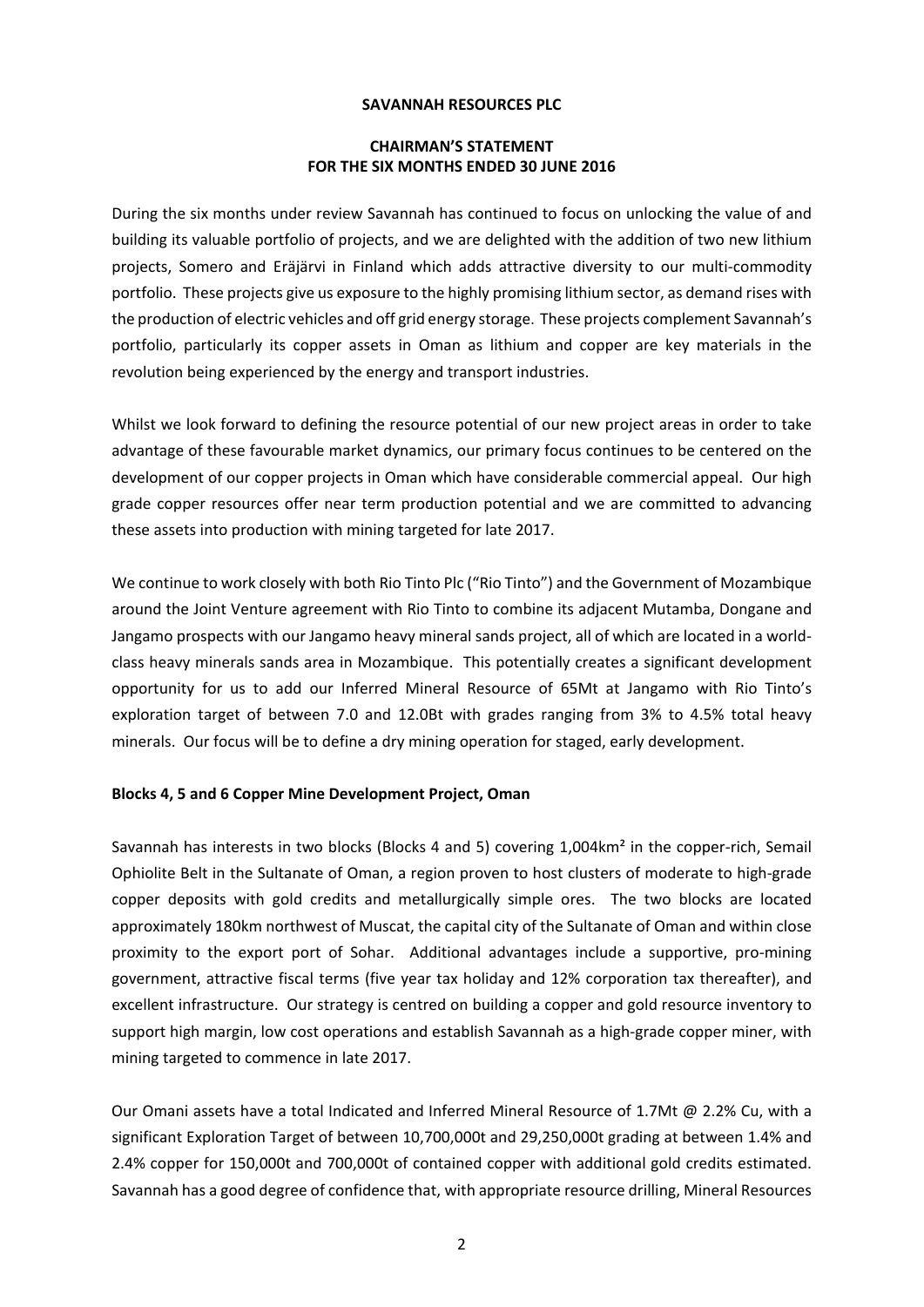# **CHAIRMAN'S STATEMENT FOR THE SIX MONTHS ENDED 30 JUNE 2016**

During the six months under review Savannah has continued to focus on unlocking the value of and building its valuable portfolio of projects, and we are delighted with the addition of two new lithium projects, Somero and Eräjärvi in Finland which adds attractive diversity to our multi‐commodity portfolio. These projects give us exposure to the highly promising lithium sector, as demand rises with the production of electric vehicles and off grid energy storage. These projects complement Savannah's portfolio, particularly its copper assets in Oman as lithium and copper are key materials in the revolution being experienced by the energy and transport industries.

Whilst we look forward to defining the resource potential of our new project areas in order to take advantage of these favourable market dynamics, our primary focus continues to be centered on the development of our copper projects in Oman which have considerable commercial appeal. Our high grade copper resources offer near term production potential and we are committed to advancing these assets into production with mining targeted for late 2017.

We continue to work closely with both Rio Tinto Plc ("Rio Tinto") and the Government of Mozambique around the Joint Venture agreement with Rio Tinto to combine its adjacent Mutamba, Dongane and Jangamo prospects with our Jangamo heavy mineral sands project, all of which are located in a world‐ class heavy minerals sands area in Mozambique. This potentially creates a significant development opportunity for us to add our Inferred Mineral Resource of 65Mt at Jangamo with Rio Tinto's exploration target of between 7.0 and 12.0Bt with grades ranging from 3% to 4.5% total heavy minerals. Our focus will be to define a dry mining operation for staged, early development.

#### **Blocks 4, 5 and 6 Copper Mine Development Project, Oman**

Savannah has interests in two blocks (Blocks 4 and 5) covering 1,004km<sup>2</sup> in the copper-rich, Semail Ophiolite Belt in the Sultanate of Oman, a region proven to host clusters of moderate to high‐grade copper deposits with gold credits and metallurgically simple ores. The two blocks are located approximately 180km northwest of Muscat, the capital city of the Sultanate of Oman and within close proximity to the export port of Sohar. Additional advantages include a supportive, pro‐mining government, attractive fiscal terms (five year tax holiday and 12% corporation tax thereafter), and excellent infrastructure. Our strategy is centred on building a copper and gold resource inventory to support high margin, low cost operations and establish Savannah as a high‐grade copper miner, with mining targeted to commence in late 2017.

Our Omani assets have a total Indicated and Inferred Mineral Resource of 1.7Mt @ 2.2% Cu, with a significant Exploration Target of between 10,700,000t and 29,250,000t grading at between 1.4% and 2.4% copper for 150,000t and 700,000t of contained copper with additional gold credits estimated. Savannah has a good degree of confidence that, with appropriate resource drilling, Mineral Resources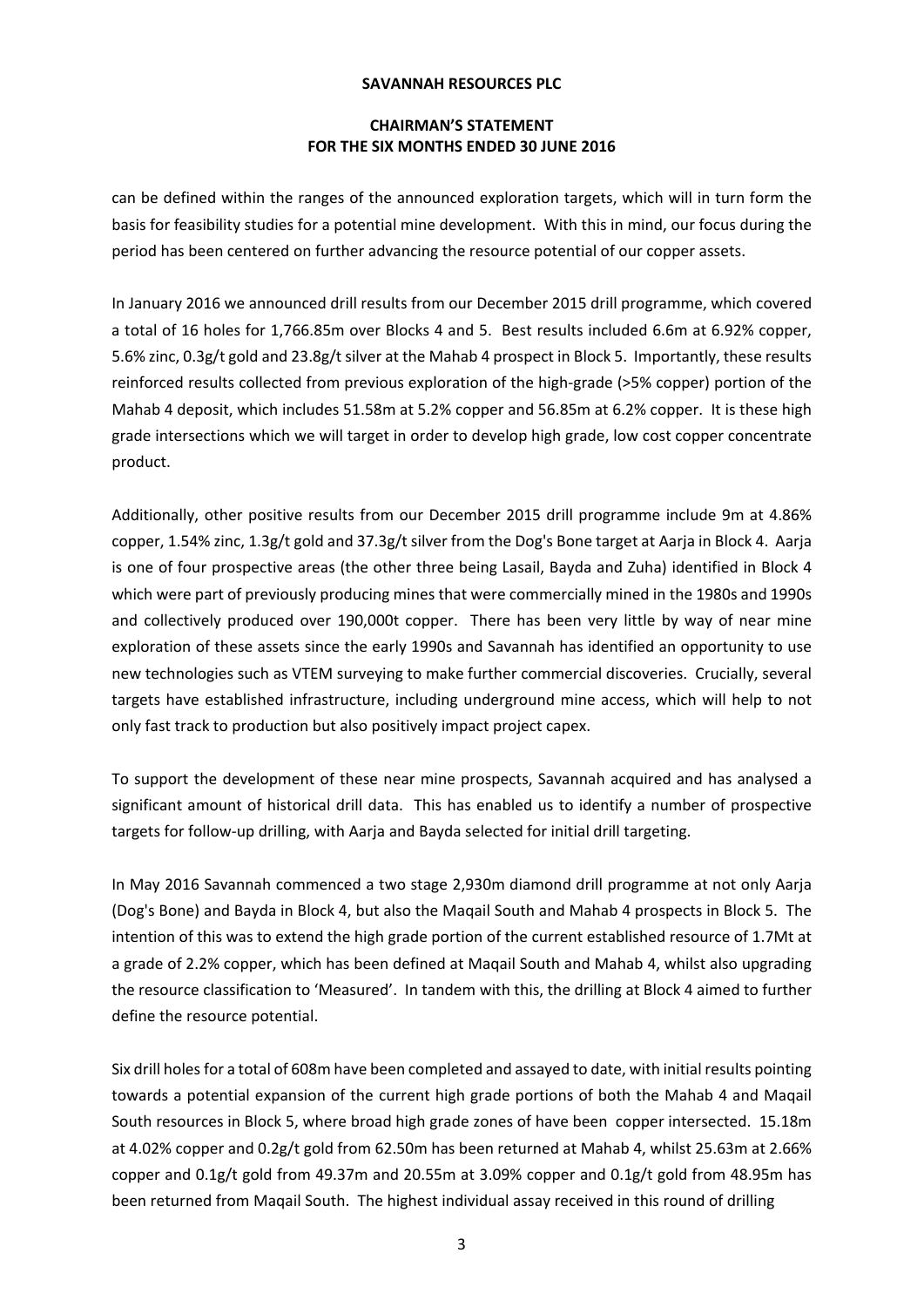# **CHAIRMAN'S STATEMENT FOR THE SIX MONTHS ENDED 30 JUNE 2016**

can be defined within the ranges of the announced exploration targets, which will in turn form the basis for feasibility studies for a potential mine development. With this in mind, our focus during the period has been centered on further advancing the resource potential of our copper assets.

In January 2016 we announced drill results from our December 2015 drill programme, which covered a total of 16 holes for 1,766.85m over Blocks 4 and 5. Best results included 6.6m at 6.92% copper, 5.6% zinc, 0.3g/t gold and 23.8g/t silver at the Mahab 4 prospect in Block 5. Importantly, these results reinforced results collected from previous exploration of the high‐grade (>5% copper) portion of the Mahab 4 deposit, which includes 51.58m at 5.2% copper and 56.85m at 6.2% copper. It is these high grade intersections which we will target in order to develop high grade, low cost copper concentrate product.

Additionally, other positive results from our December 2015 drill programme include 9m at 4.86% copper, 1.54% zinc, 1.3g/t gold and 37.3g/t silver from the Dog's Bone target at Aarja in Block 4. Aarja is one of four prospective areas (the other three being Lasail, Bayda and Zuha) identified in Block 4 which were part of previously producing mines that were commercially mined in the 1980s and 1990s and collectively produced over 190,000t copper. There has been very little by way of near mine exploration of these assets since the early 1990s and Savannah has identified an opportunity to use new technologies such as VTEM surveying to make further commercial discoveries. Crucially, several targets have established infrastructure, including underground mine access, which will help to not only fast track to production but also positively impact project capex.

To support the development of these near mine prospects, Savannah acquired and has analysed a significant amount of historical drill data. This has enabled us to identify a number of prospective targets for follow‐up drilling, with Aarja and Bayda selected for initial drill targeting.

In May 2016 Savannah commenced a two stage 2,930m diamond drill programme at not only Aarja (Dog's Bone) and Bayda in Block 4, but also the Maqail South and Mahab 4 prospects in Block 5. The intention of this was to extend the high grade portion of the current established resource of 1.7Mt at a grade of 2.2% copper, which has been defined at Maqail South and Mahab 4, whilst also upgrading the resource classification to 'Measured'. In tandem with this, the drilling at Block 4 aimed to further define the resource potential.

Six drill holes for a total of 608m have been completed and assayed to date, with initial results pointing towards a potential expansion of the current high grade portions of both the Mahab 4 and Maqail South resources in Block 5, where broad high grade zones of have been copper intersected. 15.18m at 4.02% copper and 0.2g/t gold from 62.50m has been returned at Mahab 4, whilst 25.63m at 2.66% copper and 0.1g/t gold from 49.37m and 20.55m at 3.09% copper and 0.1g/t gold from 48.95m has been returned from Maqail South. The highest individual assay received in this round of drilling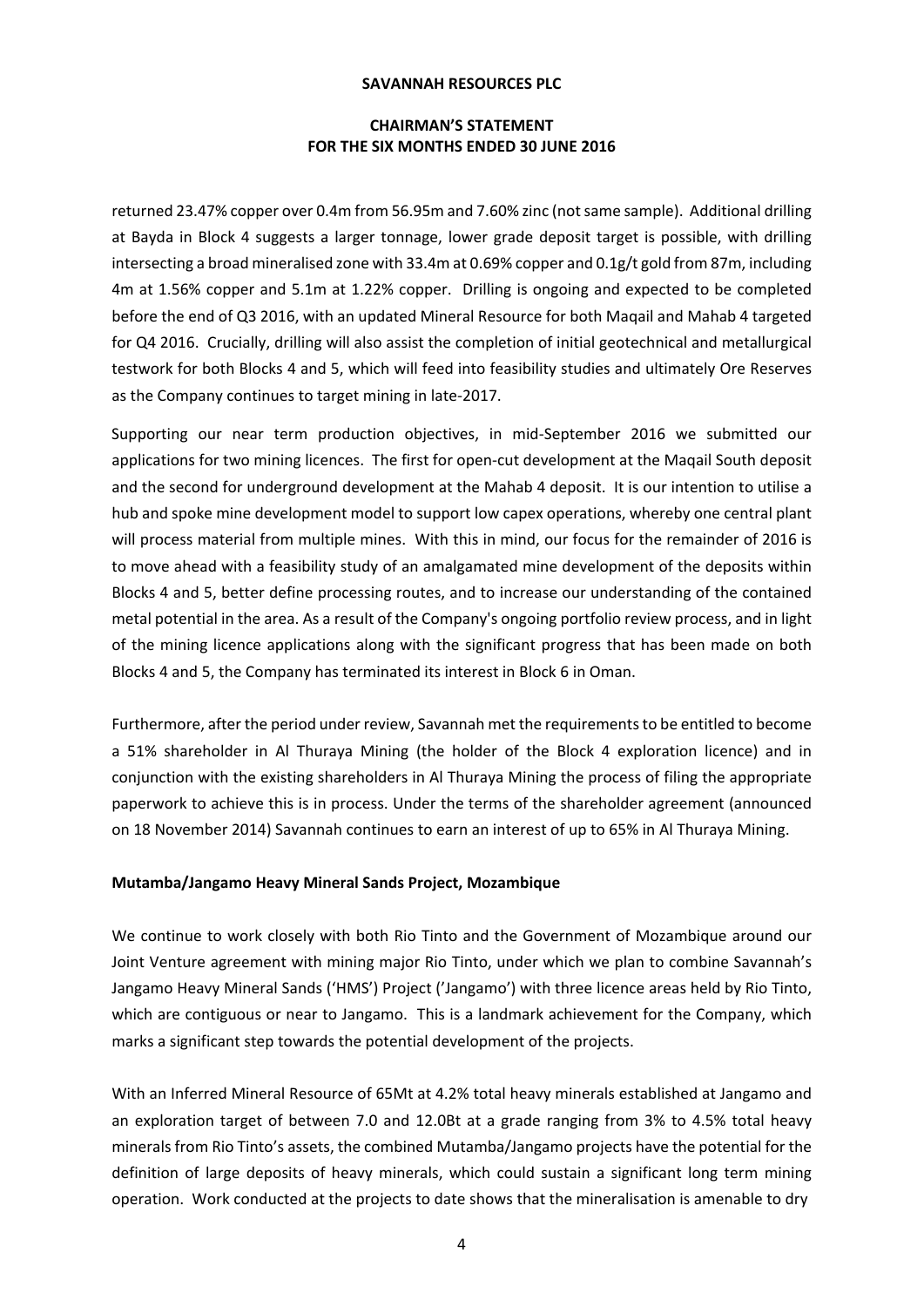# **CHAIRMAN'S STATEMENT FOR THE SIX MONTHS ENDED 30 JUNE 2016**

returned 23.47% copper over 0.4m from 56.95m and 7.60% zinc (notsame sample). Additional drilling at Bayda in Block 4 suggests a larger tonnage, lower grade deposit target is possible, with drilling intersecting a broad mineralised zone with 33.4m at 0.69% copper and 0.1g/t gold from 87m, including 4m at 1.56% copper and 5.1m at 1.22% copper. Drilling is ongoing and expected to be completed before the end of Q3 2016, with an updated Mineral Resource for both Maqail and Mahab 4 targeted for Q4 2016. Crucially, drilling will also assist the completion of initial geotechnical and metallurgical testwork for both Blocks 4 and 5, which will feed into feasibility studies and ultimately Ore Reserves as the Company continues to target mining in late‐2017.

Supporting our near term production objectives, in mid‐September 2016 we submitted our applications for two mining licences. The first for open-cut development at the Maqail South deposit and the second for underground development at the Mahab 4 deposit. It is our intention to utilise a hub and spoke mine development model to support low capex operations, whereby one central plant will process material from multiple mines. With this in mind, our focus for the remainder of 2016 is to move ahead with a feasibility study of an amalgamated mine development of the deposits within Blocks 4 and 5, better define processing routes, and to increase our understanding of the contained metal potential in the area. As a result of the Company's ongoing portfolio review process, and in light of the mining licence applications along with the significant progress that has been made on both Blocks 4 and 5, the Company has terminated its interest in Block 6 in Oman.

Furthermore, after the period under review, Savannah met the requirements to be entitled to become a 51% shareholder in Al Thuraya Mining (the holder of the Block 4 exploration licence) and in conjunction with the existing shareholders in Al Thuraya Mining the process of filing the appropriate paperwork to achieve this is in process. Under the terms of the shareholder agreement (announced on 18 November 2014) Savannah continues to earn an interest of up to 65% in Al Thuraya Mining.

### **Mutamba/Jangamo Heavy Mineral Sands Project, Mozambique**

We continue to work closely with both Rio Tinto and the Government of Mozambique around our Joint Venture agreement with mining major Rio Tinto, under which we plan to combine Savannah's Jangamo Heavy Mineral Sands ('HMS') Project ('Jangamo') with three licence areas held by Rio Tinto, which are contiguous or near to Jangamo. This is a landmark achievement for the Company, which marks a significant step towards the potential development of the projects.

With an Inferred Mineral Resource of 65Mt at 4.2% total heavy minerals established at Jangamo and an exploration target of between 7.0 and 12.0Bt at a grade ranging from 3% to 4.5% total heavy minerals from Rio Tinto's assets, the combined Mutamba/Jangamo projects have the potential for the definition of large deposits of heavy minerals, which could sustain a significant long term mining operation. Work conducted at the projects to date shows that the mineralisation is amenable to dry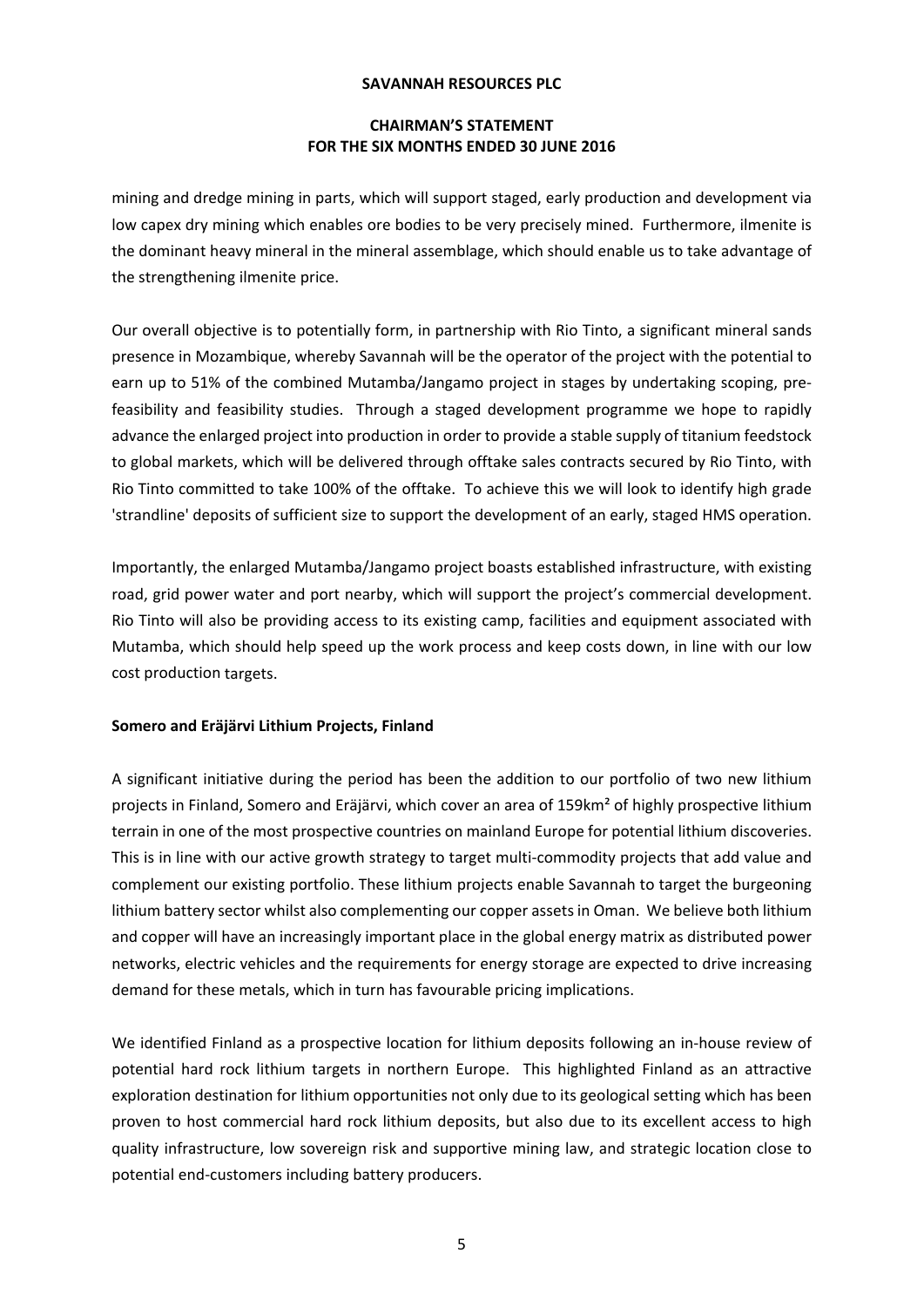# **CHAIRMAN'S STATEMENT FOR THE SIX MONTHS ENDED 30 JUNE 2016**

mining and dredge mining in parts, which will support staged, early production and development via low capex dry mining which enables ore bodies to be very precisely mined. Furthermore, ilmenite is the dominant heavy mineral in the mineral assemblage, which should enable us to take advantage of the strengthening ilmenite price.

Our overall objective is to potentially form, in partnership with Rio Tinto, a significant mineral sands presence in Mozambique, whereby Savannah will be the operator of the project with the potential to earn up to 51% of the combined Mutamba/Jangamo project in stages by undertaking scoping, pre‐ feasibility and feasibility studies. Through a staged development programme we hope to rapidly advance the enlarged project into production in order to provide a stable supply of titanium feedstock to global markets, which will be delivered through offtake sales contracts secured by Rio Tinto, with Rio Tinto committed to take 100% of the offtake. To achieve this we will look to identify high grade 'strandline' deposits of sufficient size to support the development of an early, staged HMS operation.

Importantly, the enlarged Mutamba/Jangamo project boasts established infrastructure, with existing road, grid power water and port nearby, which will support the project's commercial development. Rio Tinto will also be providing access to its existing camp, facilities and equipment associated with Mutamba, which should help speed up the work process and keep costs down, in line with our low cost production targets.

# **Somero and Eräjärvi Lithium Projects, Finland**

A significant initiative during the period has been the addition to our portfolio of two new lithium projects in Finland, Somero and Eräjärvi, which cover an area of 159km² of highly prospective lithium terrain in one of the most prospective countries on mainland Europe for potential lithium discoveries. This is in line with our active growth strategy to target multi‐commodity projects that add value and complement our existing portfolio. These lithium projects enable Savannah to target the burgeoning lithium battery sector whilst also complementing our copper assetsin Oman. We believe both lithium and copper will have an increasingly important place in the global energy matrix as distributed power networks, electric vehicles and the requirements for energy storage are expected to drive increasing demand for these metals, which in turn has favourable pricing implications.

We identified Finland as a prospective location for lithium deposits following an in‐house review of potential hard rock lithium targets in northern Europe. This highlighted Finland as an attractive exploration destination for lithium opportunities not only due to its geological setting which has been proven to host commercial hard rock lithium deposits, but also due to its excellent access to high quality infrastructure, low sovereign risk and supportive mining law, and strategic location close to potential end‐customers including battery producers.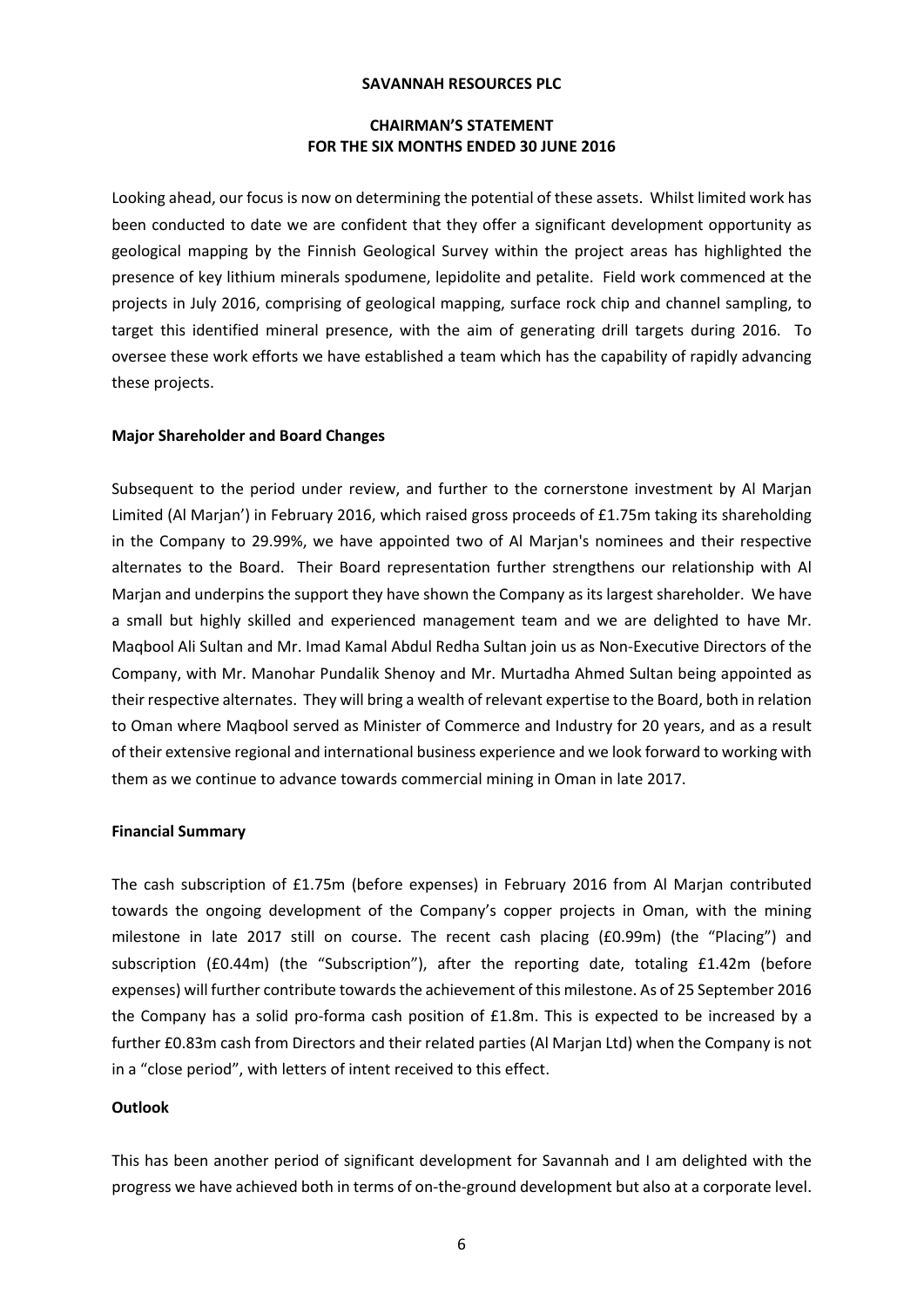### **CHAIRMAN'S STATEMENT FOR THE SIX MONTHS ENDED 30 JUNE 2016**

Looking ahead, our focus is now on determining the potential of these assets. Whilst limited work has been conducted to date we are confident that they offer a significant development opportunity as geological mapping by the Finnish Geological Survey within the project areas has highlighted the presence of key lithium minerals spodumene, lepidolite and petalite. Field work commenced at the projects in July 2016, comprising of geological mapping, surface rock chip and channel sampling, to target this identified mineral presence, with the aim of generating drill targets during 2016. To oversee these work efforts we have established a team which has the capability of rapidly advancing these projects.

### **Major Shareholder and Board Changes**

Subsequent to the period under review, and further to the cornerstone investment by Al Marjan Limited (Al Marjan') in February 2016, which raised gross proceeds of £1.75m taking its shareholding in the Company to 29.99%, we have appointed two of Al Marjan's nominees and their respective alternates to the Board. Their Board representation further strengthens our relationship with Al Marjan and underpins the support they have shown the Company as its largest shareholder. We have a small but highly skilled and experienced management team and we are delighted to have Mr. Maqbool Ali Sultan and Mr. Imad Kamal Abdul Redha Sultan join us as Non‐Executive Directors of the Company, with Mr. Manohar Pundalik Shenoy and Mr. Murtadha Ahmed Sultan being appointed as their respective alternates. They will bring a wealth of relevant expertise to the Board, both in relation to Oman where Maqbool served as Minister of Commerce and Industry for 20 years, and as a result of their extensive regional and international business experience and we look forward to working with them as we continue to advance towards commercial mining in Oman in late 2017.

#### **Financial Summary**

The cash subscription of £1.75m (before expenses) in February 2016 from Al Marjan contributed towards the ongoing development of the Company's copper projects in Oman, with the mining milestone in late 2017 still on course. The recent cash placing (£0.99m) (the "Placing") and subscription (£0.44m) (the "Subscription"), after the reporting date, totaling £1.42m (before expenses) will further contribute towards the achievement of this milestone. As of 25 September 2016 the Company has a solid pro-forma cash position of £1.8m. This is expected to be increased by a further £0.83m cash from Directors and their related parties (Al Marjan Ltd) when the Company is not in a "close period", with letters of intent received to this effect.

#### **Outlook**

This has been another period of significant development for Savannah and I am delighted with the progress we have achieved both in terms of on-the-ground development but also at a corporate level.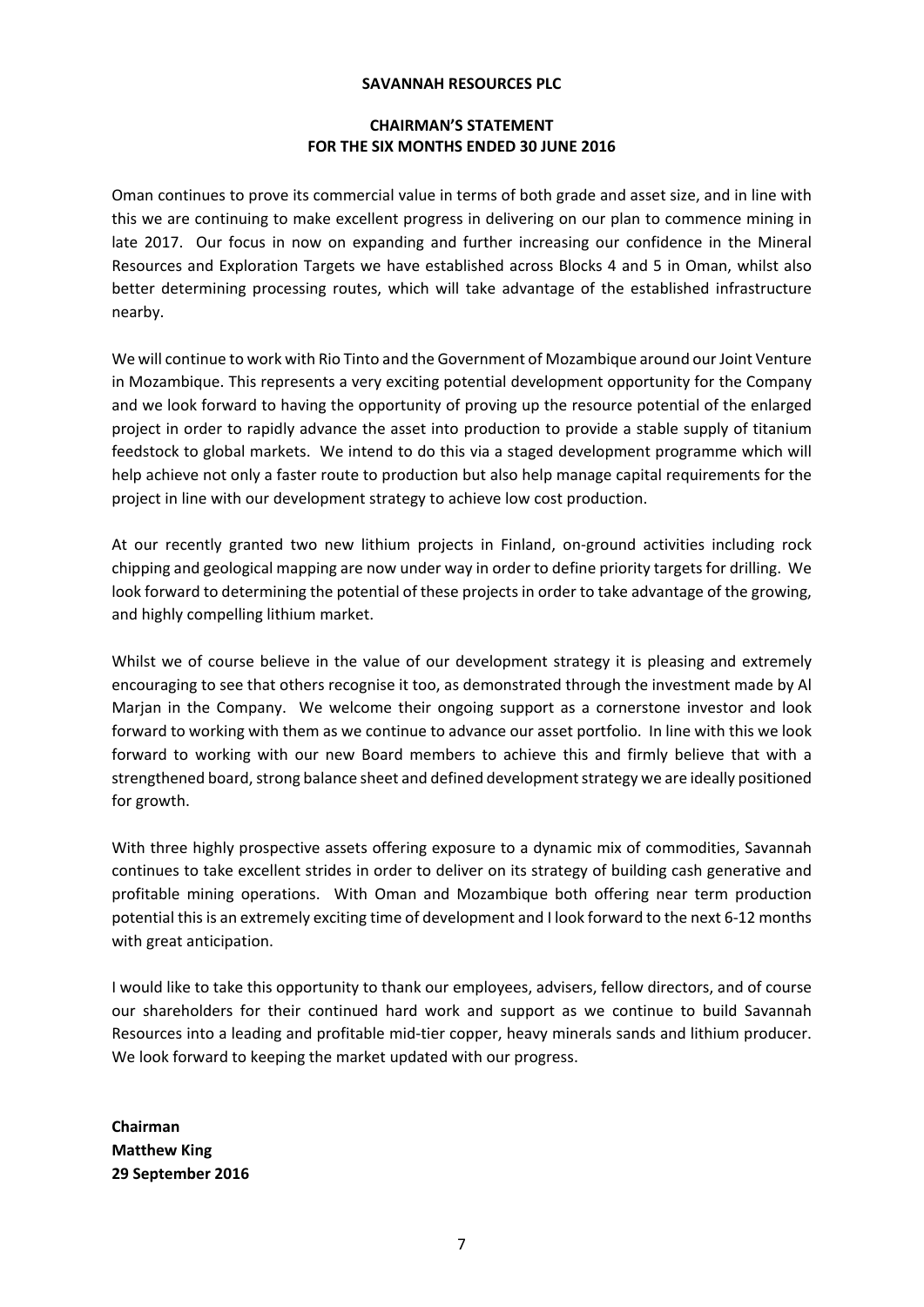# **CHAIRMAN'S STATEMENT FOR THE SIX MONTHS ENDED 30 JUNE 2016**

Oman continues to prove its commercial value in terms of both grade and asset size, and in line with this we are continuing to make excellent progress in delivering on our plan to commence mining in late 2017. Our focus in now on expanding and further increasing our confidence in the Mineral Resources and Exploration Targets we have established across Blocks 4 and 5 in Oman, whilst also better determining processing routes, which will take advantage of the established infrastructure nearby.

We will continue to work with Rio Tinto and the Government of Mozambique around our Joint Venture in Mozambique. This represents a very exciting potential development opportunity for the Company and we look forward to having the opportunity of proving up the resource potential of the enlarged project in order to rapidly advance the asset into production to provide a stable supply of titanium feedstock to global markets. We intend to do this via a staged development programme which will help achieve not only a faster route to production but also help manage capital requirements for the project in line with our development strategy to achieve low cost production.

At our recently granted two new lithium projects in Finland, on‐ground activities including rock chipping and geological mapping are now under way in order to define priority targets for drilling. We look forward to determining the potential of these projects in order to take advantage of the growing, and highly compelling lithium market.

Whilst we of course believe in the value of our development strategy it is pleasing and extremely encouraging to see that others recognise it too, as demonstrated through the investment made by Al Marjan in the Company. We welcome their ongoing support as a cornerstone investor and look forward to working with them as we continue to advance our asset portfolio. In line with this we look forward to working with our new Board members to achieve this and firmly believe that with a strengthened board, strong balance sheet and defined development strategy we are ideally positioned for growth.

With three highly prospective assets offering exposure to a dynamic mix of commodities, Savannah continues to take excellent strides in order to deliver on its strategy of building cash generative and profitable mining operations. With Oman and Mozambique both offering near term production potential this is an extremely exciting time of development and I look forward to the next 6‐12 months with great anticipation.

I would like to take this opportunity to thank our employees, advisers, fellow directors, and of course our shareholders for their continued hard work and support as we continue to build Savannah Resources into a leading and profitable mid-tier copper, heavy minerals sands and lithium producer. We look forward to keeping the market updated with our progress.

**Chairman Matthew King 29 September 2016**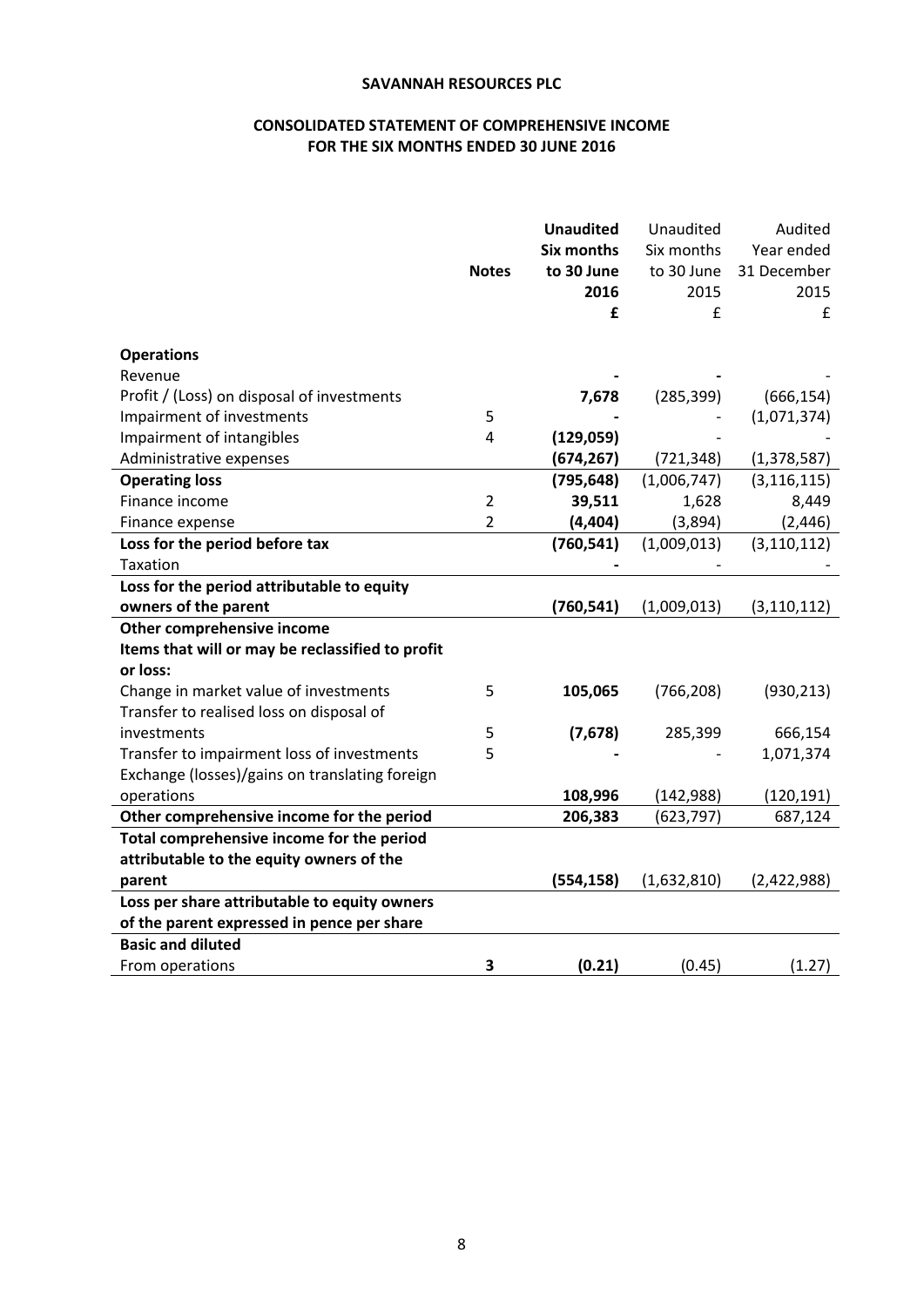# **CONSOLIDATED STATEMENT OF COMPREHENSIVE INCOME FOR THE SIX MONTHS ENDED 30 JUNE 2016**

|                                                  |                | <b>Unaudited</b>  | Unaudited   | Audited       |
|--------------------------------------------------|----------------|-------------------|-------------|---------------|
|                                                  |                | <b>Six months</b> | Six months  | Year ended    |
|                                                  | <b>Notes</b>   | to 30 June        | to 30 June  | 31 December   |
|                                                  |                | 2016              | 2015        | 2015          |
|                                                  |                | £                 | £           | £             |
| <b>Operations</b>                                |                |                   |             |               |
| Revenue                                          |                |                   |             |               |
| Profit / (Loss) on disposal of investments       |                | 7,678             | (285, 399)  | (666, 154)    |
| Impairment of investments                        | 5              |                   |             | (1,071,374)   |
| Impairment of intangibles                        | 4              | (129, 059)        |             |               |
| Administrative expenses                          |                | (674, 267)        | (721, 348)  | (1, 378, 587) |
| <b>Operating loss</b>                            |                | (795, 648)        | (1,006,747) | (3, 116, 115) |
| Finance income                                   | $\overline{2}$ | 39,511            | 1,628       | 8,449         |
| Finance expense                                  | $\overline{2}$ | (4, 404)          | (3,894)     | (2, 446)      |
| Loss for the period before tax                   |                | (760, 541)        | (1,009,013) | (3, 110, 112) |
| <b>Taxation</b>                                  |                |                   |             |               |
| Loss for the period attributable to equity       |                |                   |             |               |
| owners of the parent                             |                | (760, 541)        | (1,009,013) | (3, 110, 112) |
| Other comprehensive income                       |                |                   |             |               |
| Items that will or may be reclassified to profit |                |                   |             |               |
| or loss:                                         |                |                   |             |               |
| Change in market value of investments            | 5              | 105,065           | (766, 208)  | (930, 213)    |
| Transfer to realised loss on disposal of         |                |                   |             |               |
| investments                                      | 5              | (7, 678)          | 285,399     | 666,154       |
| Transfer to impairment loss of investments       | 5              |                   |             | 1,071,374     |
| Exchange (losses)/gains on translating foreign   |                |                   |             |               |
| operations                                       |                | 108,996           | (142, 988)  | (120, 191)    |
| Other comprehensive income for the period        |                | 206,383           | (623, 797)  | 687,124       |
| Total comprehensive income for the period        |                |                   |             |               |
| attributable to the equity owners of the         |                |                   |             |               |
| parent                                           |                | (554, 158)        | (1,632,810) | (2,422,988)   |
| Loss per share attributable to equity owners     |                |                   |             |               |
| of the parent expressed in pence per share       |                |                   |             |               |
| <b>Basic and diluted</b>                         |                |                   |             |               |
| From operations                                  | 3              | (0.21)            | (0.45)      | (1.27)        |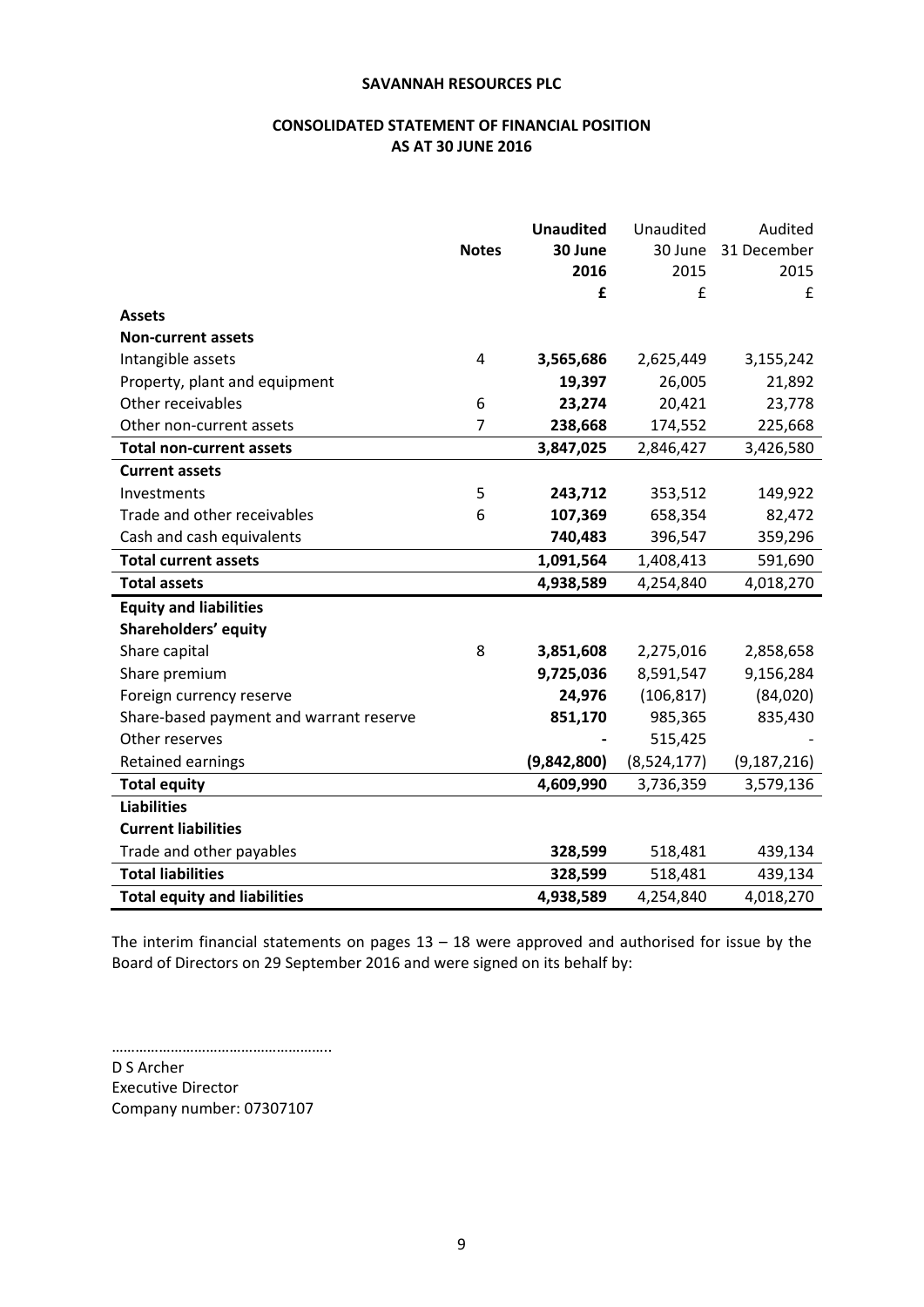# **CONSOLIDATED STATEMENT OF FINANCIAL POSITION AS AT 30 JUNE 2016**

|                                         | <b>Notes</b>   | <b>Unaudited</b><br>30 June<br>2016 | Unaudited<br>30 June<br>2015 | Audited<br>31 December<br>2015 |
|-----------------------------------------|----------------|-------------------------------------|------------------------------|--------------------------------|
|                                         |                | £                                   | £                            | £                              |
| <b>Assets</b>                           |                |                                     |                              |                                |
| <b>Non-current assets</b>               |                |                                     |                              |                                |
| Intangible assets                       | 4              | 3,565,686                           | 2,625,449                    | 3,155,242                      |
| Property, plant and equipment           |                | 19,397                              | 26,005                       | 21,892                         |
| Other receivables                       | 6              | 23,274                              | 20,421                       | 23,778                         |
| Other non-current assets                | $\overline{7}$ | 238,668                             | 174,552                      | 225,668                        |
| <b>Total non-current assets</b>         |                | 3,847,025                           | 2,846,427                    | 3,426,580                      |
| <b>Current assets</b>                   |                |                                     |                              |                                |
| Investments                             | 5              | 243,712                             | 353,512                      | 149,922                        |
| Trade and other receivables             | 6              | 107,369                             | 658,354                      | 82,472                         |
| Cash and cash equivalents               |                | 740,483                             | 396,547                      | 359,296                        |
| <b>Total current assets</b>             |                | 1,091,564                           | 1,408,413                    | 591,690                        |
| <b>Total assets</b>                     |                | 4,938,589                           | 4,254,840                    | 4,018,270                      |
| <b>Equity and liabilities</b>           |                |                                     |                              |                                |
| Shareholders' equity                    |                |                                     |                              |                                |
| Share capital                           | 8              | 3,851,608                           | 2,275,016                    | 2,858,658                      |
| Share premium                           |                | 9,725,036                           | 8,591,547                    | 9,156,284                      |
| Foreign currency reserve                |                | 24,976                              | (106, 817)                   | (84,020)                       |
| Share-based payment and warrant reserve |                | 851,170                             | 985,365                      | 835,430                        |
| Other reserves                          |                |                                     | 515,425                      |                                |
| Retained earnings                       |                | (9,842,800)                         | (8,524,177)                  | (9, 187, 216)                  |
| <b>Total equity</b>                     |                | 4,609,990                           | 3,736,359                    | 3,579,136                      |
| <b>Liabilities</b>                      |                |                                     |                              |                                |
| <b>Current liabilities</b>              |                |                                     |                              |                                |
| Trade and other payables                |                | 328,599                             | 518,481                      | 439,134                        |
| <b>Total liabilities</b>                |                | 328,599                             | 518,481                      | 439,134                        |
| <b>Total equity and liabilities</b>     |                | 4,938,589                           | 4,254,840                    | 4,018,270                      |

The interim financial statements on pages  $13 - 18$  were approved and authorised for issue by the Board of Directors on 29 September 2016 and were signed on its behalf by:

………………………………………………..

D S Archer Executive Director Company number: 07307107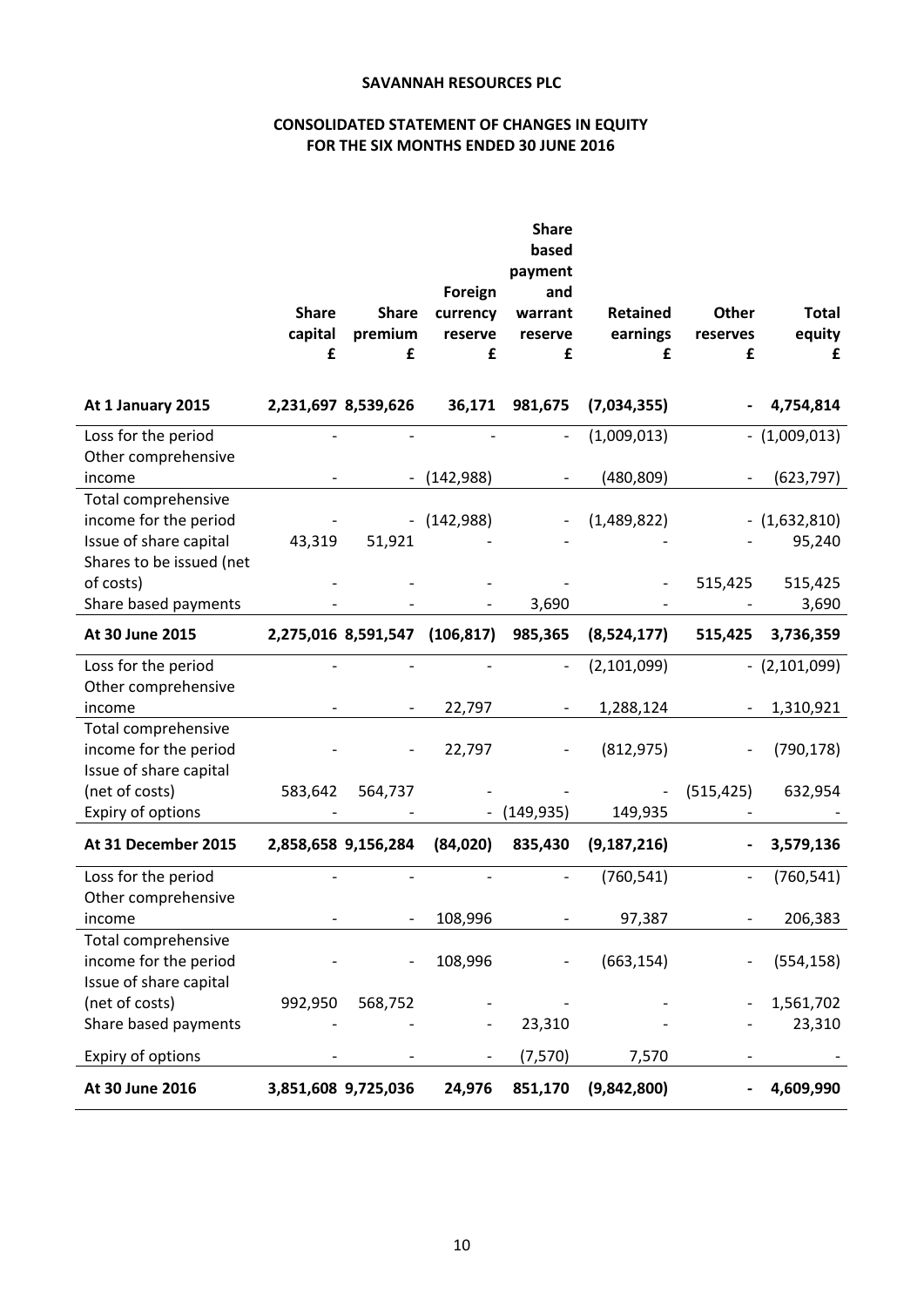# **CONSOLIDATED STATEMENT OF CHANGES IN EQUITY FOR THE SIX MONTHS ENDED 30 JUNE 2016**

|                                              |              |                     |            | <b>Share</b><br>based        |                 |            |                     |
|----------------------------------------------|--------------|---------------------|------------|------------------------------|-----------------|------------|---------------------|
|                                              |              |                     | Foreign    | payment<br>and               |                 |            |                     |
|                                              | <b>Share</b> | <b>Share</b>        | currency   | warrant                      | <b>Retained</b> | Other      | <b>Total</b>        |
|                                              | capital      | premium             | reserve    | reserve                      | earnings        | reserves   | equity              |
|                                              | £            | £                   | £          | £                            | £               | £          | £                   |
|                                              |              |                     |            |                              |                 |            |                     |
| At 1 January 2015                            |              | 2,231,697 8,539,626 | 36,171     | 981,675                      | (7,034,355)     |            | 4,754,814           |
| Loss for the period<br>Other comprehensive   |              |                     |            |                              | (1,009,013)     |            | $-$ (1,009,013)     |
| income                                       |              |                     | (142, 988) |                              | (480, 809)      |            | (623, 797)          |
| Total comprehensive<br>income for the period |              |                     | (142,988)  |                              | (1,489,822)     |            | $ (1,632,810)$      |
| Issue of share capital                       | 43,319       | 51,921              |            |                              |                 |            | 95,240              |
| Shares to be issued (net                     |              |                     |            |                              |                 |            |                     |
| of costs)                                    |              |                     |            |                              |                 | 515,425    | 515,425             |
| Share based payments                         |              |                     |            | 3,690                        |                 |            | 3,690               |
| At 30 June 2015                              |              | 2,275,016 8,591,547 | (106, 817) | 985,365                      | (8,524,177)     | 515,425    | 3,736,359           |
| Loss for the period                          |              |                     |            |                              | (2,101,099)     |            | $-$ (2,101,099)     |
| Other comprehensive<br>income                |              |                     | 22,797     |                              | 1,288,124       |            | 1,310,921           |
| Total comprehensive                          |              |                     |            |                              |                 |            |                     |
| income for the period                        |              |                     | 22,797     |                              | (812, 975)      |            | (790, 178)          |
| Issue of share capital<br>(net of costs)     | 583,642      | 564,737             |            |                              |                 | (515, 425) | 632,954             |
| Expiry of options                            |              |                     |            | (149, 935)                   | 149,935         |            |                     |
| At 31 December 2015                          |              | 2,858,658 9,156,284 | (84,020)   | 835,430                      | (9, 187, 216)   |            | 3,579,136           |
| Loss for the period                          |              |                     |            |                              | (760, 541)      |            | (760, 541)          |
| Other comprehensive                          |              |                     |            |                              |                 |            |                     |
| income<br>Total comprehensive                |              |                     | 108,996    |                              | 97,387          |            | 206,383             |
| income for the period                        |              |                     | 108,996    | $\qquad \qquad \blacksquare$ | (663, 154)      |            | (554, 158)          |
| Issue of share capital                       |              |                     |            |                              |                 |            |                     |
| (net of costs)<br>Share based payments       | 992,950      | 568,752             |            | 23,310                       |                 |            | 1,561,702<br>23,310 |
|                                              |              |                     |            |                              |                 |            |                     |
| Expiry of options                            |              |                     |            | (7, 570)                     | 7,570           |            |                     |
| At 30 June 2016                              |              | 3,851,608 9,725,036 | 24,976     | 851,170                      | (9,842,800)     |            | 4,609,990           |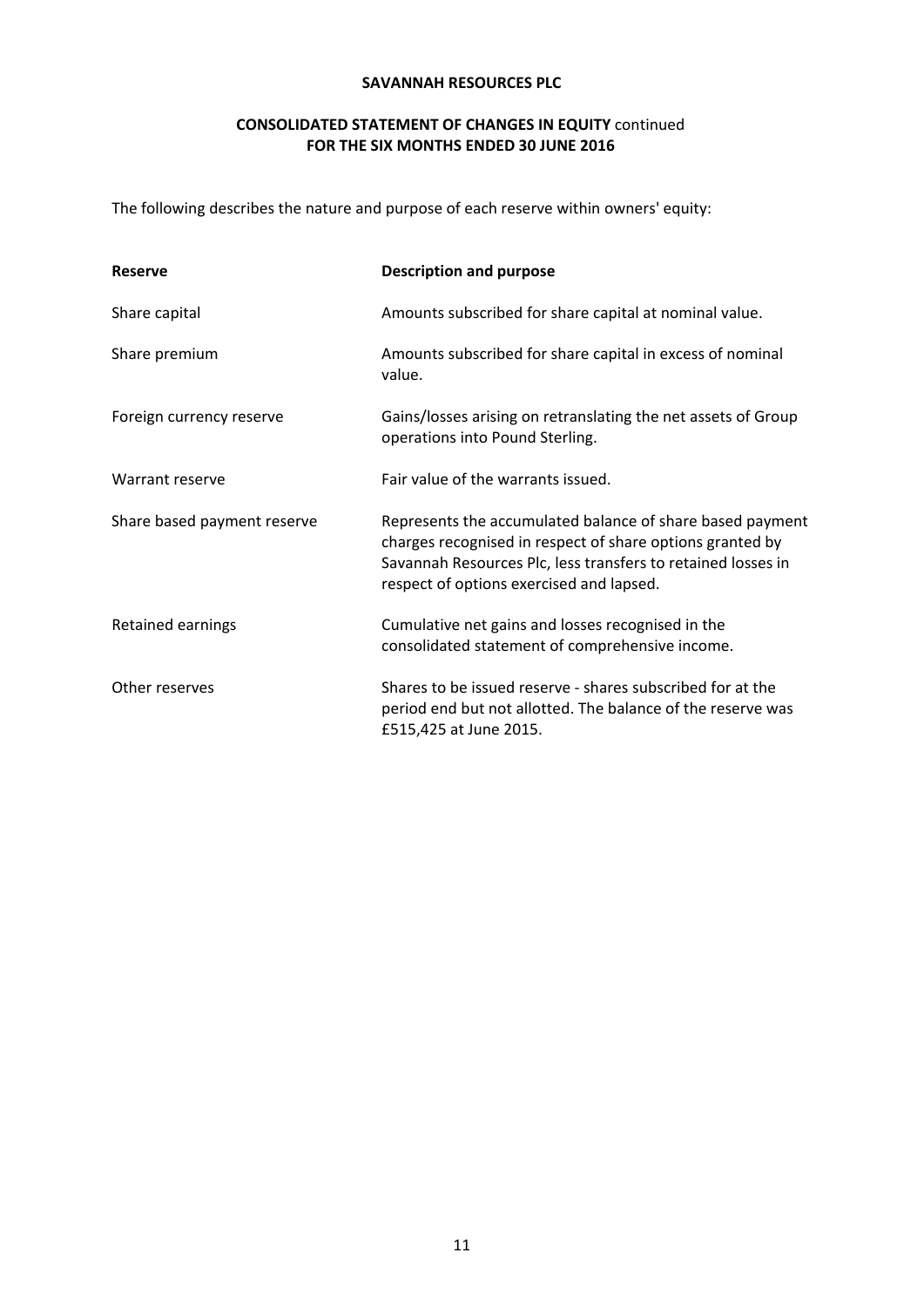# **CONSOLIDATED STATEMENT OF CHANGES IN EQUITY** continued **FOR THE SIX MONTHS ENDED 30 JUNE 2016**

The following describes the nature and purpose of each reserve within owners' equity:

| <b>Reserve</b>              | <b>Description and purpose</b>                                                                                                                                                                                                     |
|-----------------------------|------------------------------------------------------------------------------------------------------------------------------------------------------------------------------------------------------------------------------------|
| Share capital               | Amounts subscribed for share capital at nominal value.                                                                                                                                                                             |
| Share premium               | Amounts subscribed for share capital in excess of nominal<br>value.                                                                                                                                                                |
| Foreign currency reserve    | Gains/losses arising on retranslating the net assets of Group<br>operations into Pound Sterling.                                                                                                                                   |
| Warrant reserve             | Fair value of the warrants issued.                                                                                                                                                                                                 |
| Share based payment reserve | Represents the accumulated balance of share based payment<br>charges recognised in respect of share options granted by<br>Savannah Resources Plc, less transfers to retained losses in<br>respect of options exercised and lapsed. |
| Retained earnings           | Cumulative net gains and losses recognised in the<br>consolidated statement of comprehensive income.                                                                                                                               |
| Other reserves              | Shares to be issued reserve - shares subscribed for at the<br>period end but not allotted. The balance of the reserve was<br>£515,425 at June 2015.                                                                                |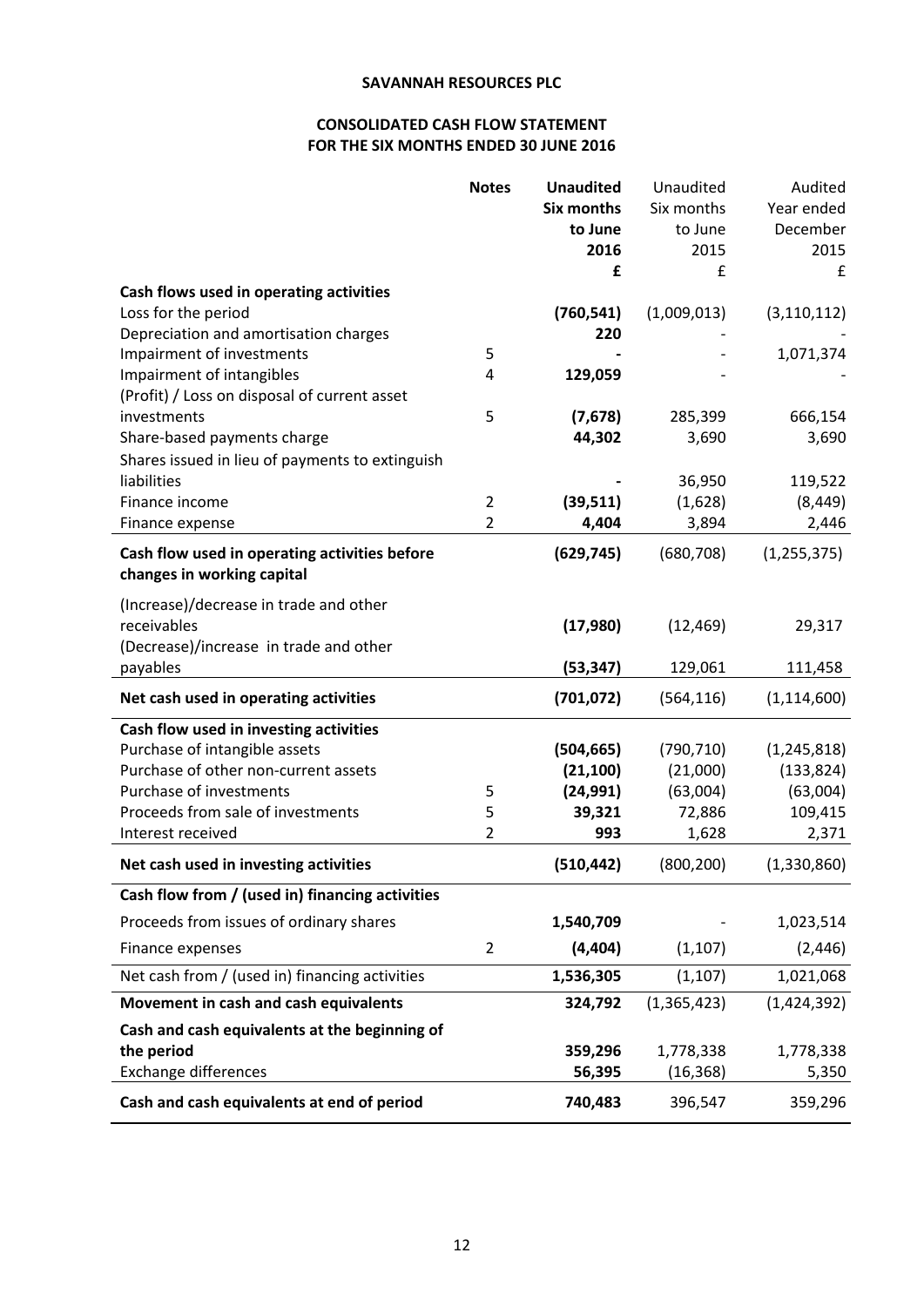# **CONSOLIDATED CASH FLOW STATEMENT FOR THE SIX MONTHS ENDED 30 JUNE 2016**

|                                                                | <b>Notes</b>   | <b>Unaudited</b>  | Unaudited     | Audited       |
|----------------------------------------------------------------|----------------|-------------------|---------------|---------------|
|                                                                |                | <b>Six months</b> | Six months    | Year ended    |
|                                                                |                | to June           | to June       | December      |
|                                                                |                | 2016              | 2015          | 2015          |
|                                                                |                | £                 | £             | £             |
| Cash flows used in operating activities                        |                |                   |               |               |
| Loss for the period                                            |                | (760, 541)        | (1,009,013)   | (3, 110, 112) |
| Depreciation and amortisation charges                          |                | 220               |               |               |
| Impairment of investments                                      | 5              |                   |               | 1,071,374     |
| Impairment of intangibles                                      | 4              | 129,059           |               |               |
| (Profit) / Loss on disposal of current asset                   |                |                   |               |               |
| investments                                                    | 5              | (7,678)           | 285,399       | 666,154       |
| Share-based payments charge                                    |                | 44,302            | 3,690         | 3,690         |
| Shares issued in lieu of payments to extinguish<br>liabilities |                |                   | 36,950        | 119,522       |
| Finance income                                                 | $\overline{2}$ | (39, 511)         | (1,628)       | (8, 449)      |
| Finance expense                                                | 2              | 4,404             | 3,894         | 2,446         |
|                                                                |                |                   |               |               |
| Cash flow used in operating activities before                  |                | (629, 745)        | (680, 708)    | (1, 255, 375) |
| changes in working capital                                     |                |                   |               |               |
| (Increase)/decrease in trade and other                         |                |                   |               |               |
| receivables                                                    |                | (17,980)          | (12, 469)     | 29,317        |
| (Decrease)/increase in trade and other                         |                |                   |               |               |
| payables                                                       |                | (53, 347)         | 129,061       | 111,458       |
| Net cash used in operating activities                          |                | (701, 072)        | (564, 116)    | (1, 114, 600) |
| Cash flow used in investing activities                         |                |                   |               |               |
| Purchase of intangible assets                                  |                | (504, 665)        | (790, 710)    | (1, 245, 818) |
| Purchase of other non-current assets                           |                | (21, 100)         | (21,000)      | (133, 824)    |
| Purchase of investments                                        | 5              | (24, 991)         | (63,004)      | (63,004)      |
| Proceeds from sale of investments                              | 5              | 39,321            | 72,886        | 109,415       |
| Interest received                                              | $\overline{2}$ | 993               | 1,628         | 2,371         |
| Net cash used in investing activities                          |                | (510, 442)        | (800, 200)    | (1, 330, 860) |
| Cash flow from / (used in) financing activities                |                |                   |               |               |
| Proceeds from issues of ordinary shares                        |                | 1,540,709         |               | 1,023,514     |
| Finance expenses                                               | $\overline{2}$ | (4, 404)          | (1, 107)      | (2, 446)      |
| Net cash from / (used in) financing activities                 |                | 1,536,305         | (1, 107)      | 1,021,068     |
| Movement in cash and cash equivalents                          |                | 324,792           | (1, 365, 423) | (1,424,392)   |
| Cash and cash equivalents at the beginning of                  |                |                   |               |               |
| the period                                                     |                | 359,296           | 1,778,338     | 1,778,338     |
| <b>Exchange differences</b>                                    |                | 56,395            | (16, 368)     | 5,350         |
| Cash and cash equivalents at end of period                     |                | 740,483           | 396,547       | 359,296       |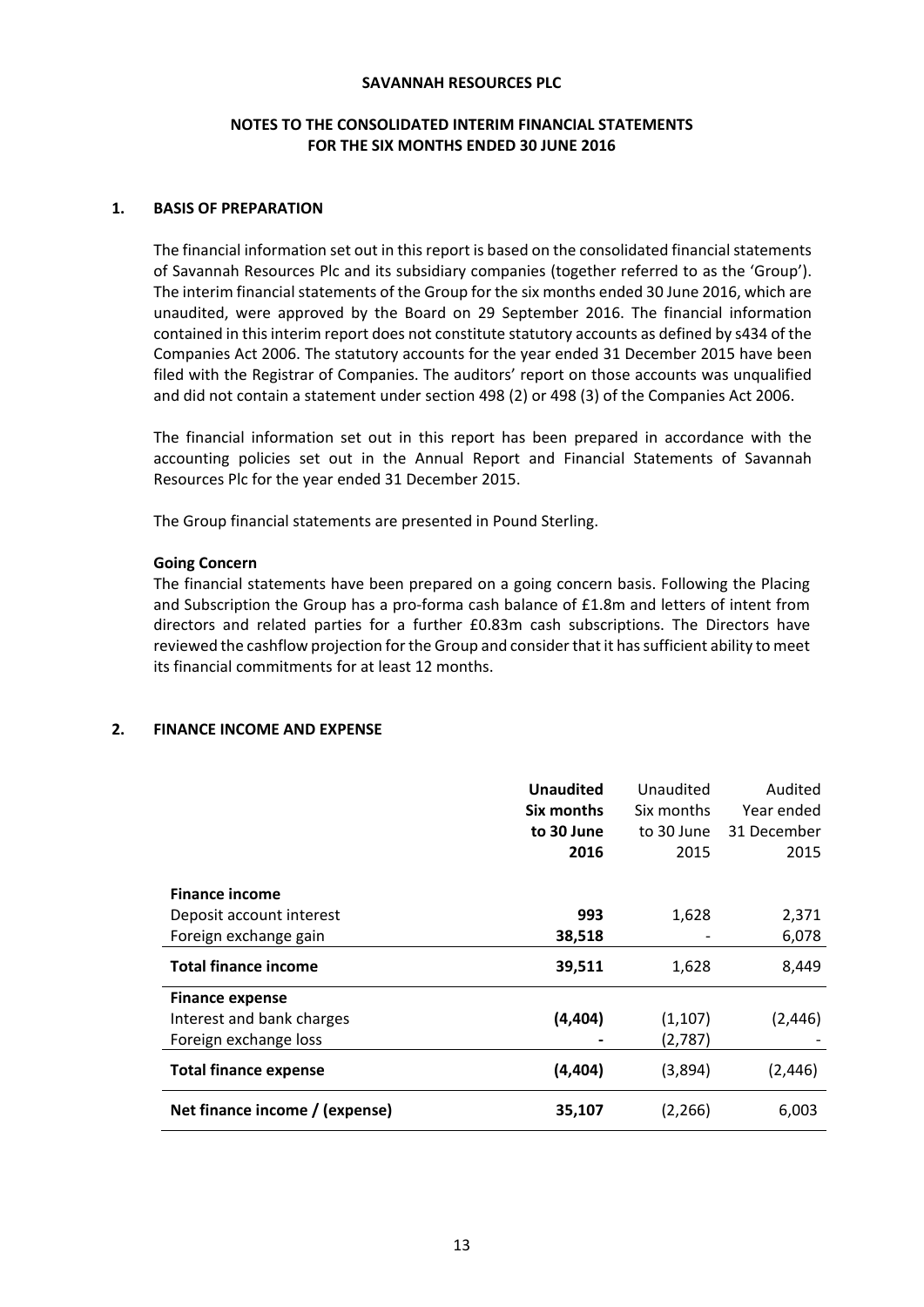### **NOTES TO THE CONSOLIDATED INTERIM FINANCIAL STATEMENTS FOR THE SIX MONTHS ENDED 30 JUNE 2016**

### **1. BASIS OF PREPARATION**

The financial information set out in this report is based on the consolidated financial statements of Savannah Resources Plc and its subsidiary companies (together referred to as the 'Group'). The interim financial statements of the Group for the six months ended 30 June 2016, which are unaudited, were approved by the Board on 29 September 2016. The financial information contained in thisinterim report does not constitute statutory accounts as defined by s434 of the Companies Act 2006. The statutory accounts for the year ended 31 December 2015 have been filed with the Registrar of Companies. The auditors' report on those accounts was unqualified and did not contain a statement under section 498 (2) or 498 (3) of the Companies Act 2006.

The financial information set out in this report has been prepared in accordance with the accounting policies set out in the Annual Report and Financial Statements of Savannah Resources Plc for the year ended 31 December 2015.

The Group financial statements are presented in Pound Sterling.

### **Going Concern**

The financial statements have been prepared on a going concern basis. Following the Placing and Subscription the Group has a pro‐forma cash balance of £1.8m and letters of intent from directors and related parties for a further £0.83m cash subscriptions. The Directors have reviewed the cashflow projection for the Group and consider that it has sufficient ability to meet its financial commitments for at least 12 months.

### **2. FINANCE INCOME AND EXPENSE**

|                                | <b>Unaudited</b><br>Six months<br>to 30 June<br>2016 | Unaudited<br>Six months<br>to 30 June<br>2015 | Audited<br>Year ended<br>31 December<br>2015 |
|--------------------------------|------------------------------------------------------|-----------------------------------------------|----------------------------------------------|
| <b>Finance income</b>          |                                                      |                                               |                                              |
| Deposit account interest       | 993                                                  | 1,628                                         | 2,371                                        |
| Foreign exchange gain          | 38,518                                               |                                               | 6,078                                        |
| <b>Total finance income</b>    | 39,511                                               | 1,628                                         | 8,449                                        |
| <b>Finance expense</b>         |                                                      |                                               |                                              |
| Interest and bank charges      | (4, 404)                                             | (1, 107)                                      | (2, 446)                                     |
| Foreign exchange loss          |                                                      | (2,787)                                       |                                              |
| <b>Total finance expense</b>   | (4, 404)                                             | (3,894)                                       | (2, 446)                                     |
| Net finance income / (expense) | 35,107                                               | (2, 266)                                      | 6,003                                        |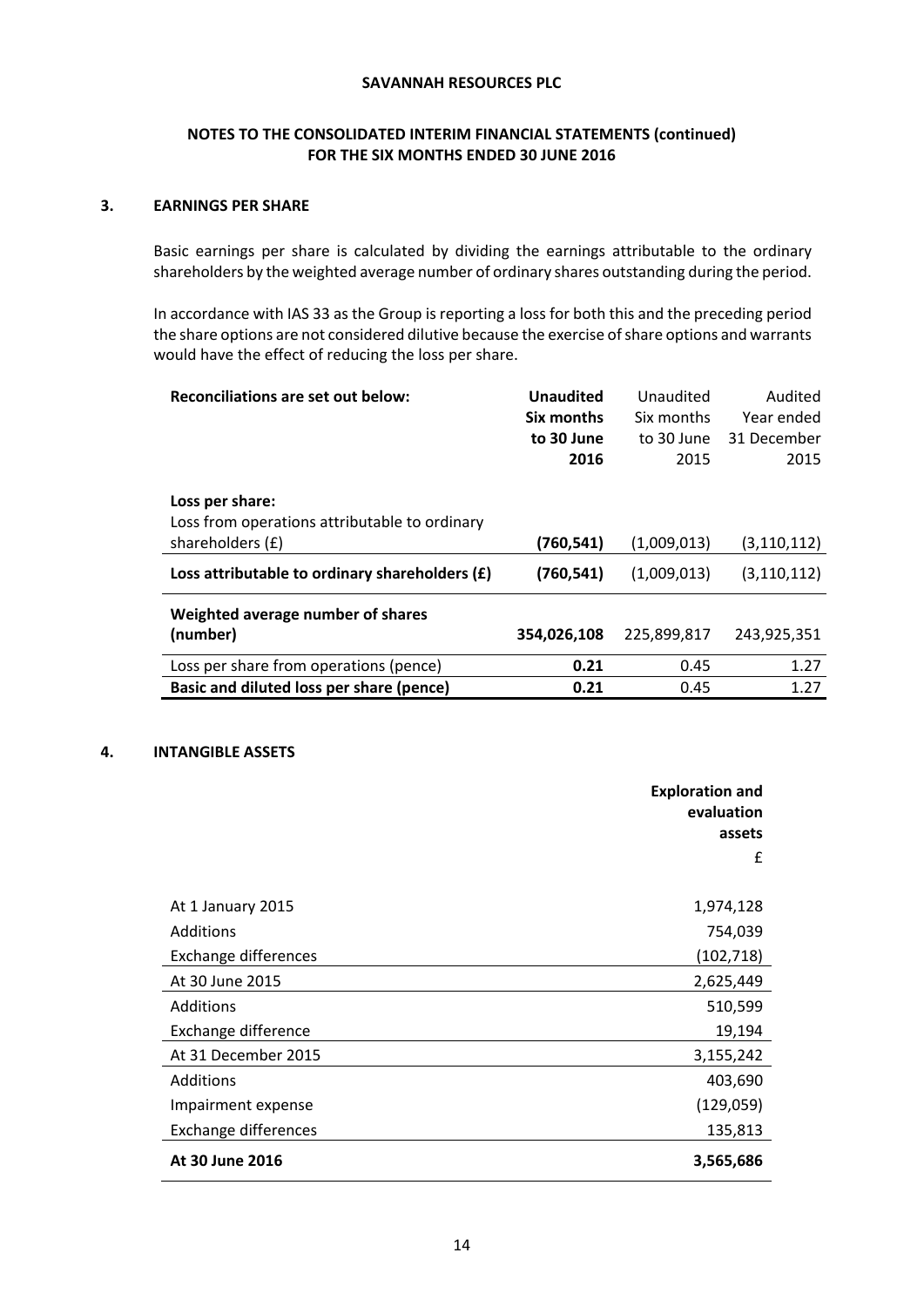# **NOTES TO THE CONSOLIDATED INTERIM FINANCIAL STATEMENTS (continued) FOR THE SIX MONTHS ENDED 30 JUNE 2016**

### **3. EARNINGS PER SHARE**

Basic earnings per share is calculated by dividing the earnings attributable to the ordinary shareholders by the weighted average number of ordinary shares outstanding during the period.

In accordance with IAS 33 as the Group is reporting a loss for both this and the preceding period the share options are not considered dilutive because the exercise of share options and warrants would have the effect of reducing the loss per share.

| <b>Reconciliations are set out below:</b>        | <b>Unaudited</b> | Unaudited   | Audited       |
|--------------------------------------------------|------------------|-------------|---------------|
|                                                  | Six months       | Six months  | Year ended    |
|                                                  | to 30 June       | to 30 June  | 31 December   |
|                                                  | 2016             | 2015        | 2015          |
|                                                  |                  |             |               |
| Loss per share:                                  |                  |             |               |
| Loss from operations attributable to ordinary    |                  |             |               |
| shareholders (£)                                 | (760,541)        | (1,009,013) | (3,110,112)   |
| Loss attributable to ordinary shareholders $(f)$ | (760,541)        | (1,009,013) | (3, 110, 112) |
| Weighted average number of shares                |                  |             |               |
| (number)                                         | 354,026,108      | 225,899,817 | 243,925,351   |
| Loss per share from operations (pence)           | 0.21             | 0.45        | 1.27          |
| Basic and diluted loss per share (pence)         | 0.21             | 0.45        | 1.27          |

#### **4. INTANGIBLE ASSETS**

|                      | <b>Exploration and</b><br>evaluation<br>assets |
|----------------------|------------------------------------------------|
|                      | f                                              |
| At 1 January 2015    | 1,974,128                                      |
| Additions            | 754,039                                        |
| Exchange differences | (102, 718)                                     |
| At 30 June 2015      | 2,625,449                                      |
| Additions            | 510,599                                        |
| Exchange difference  | 19,194                                         |
| At 31 December 2015  | 3,155,242                                      |
| Additions            | 403,690                                        |
| Impairment expense   | (129,059)                                      |
| Exchange differences | 135,813                                        |
| At 30 June 2016      | 3,565,686                                      |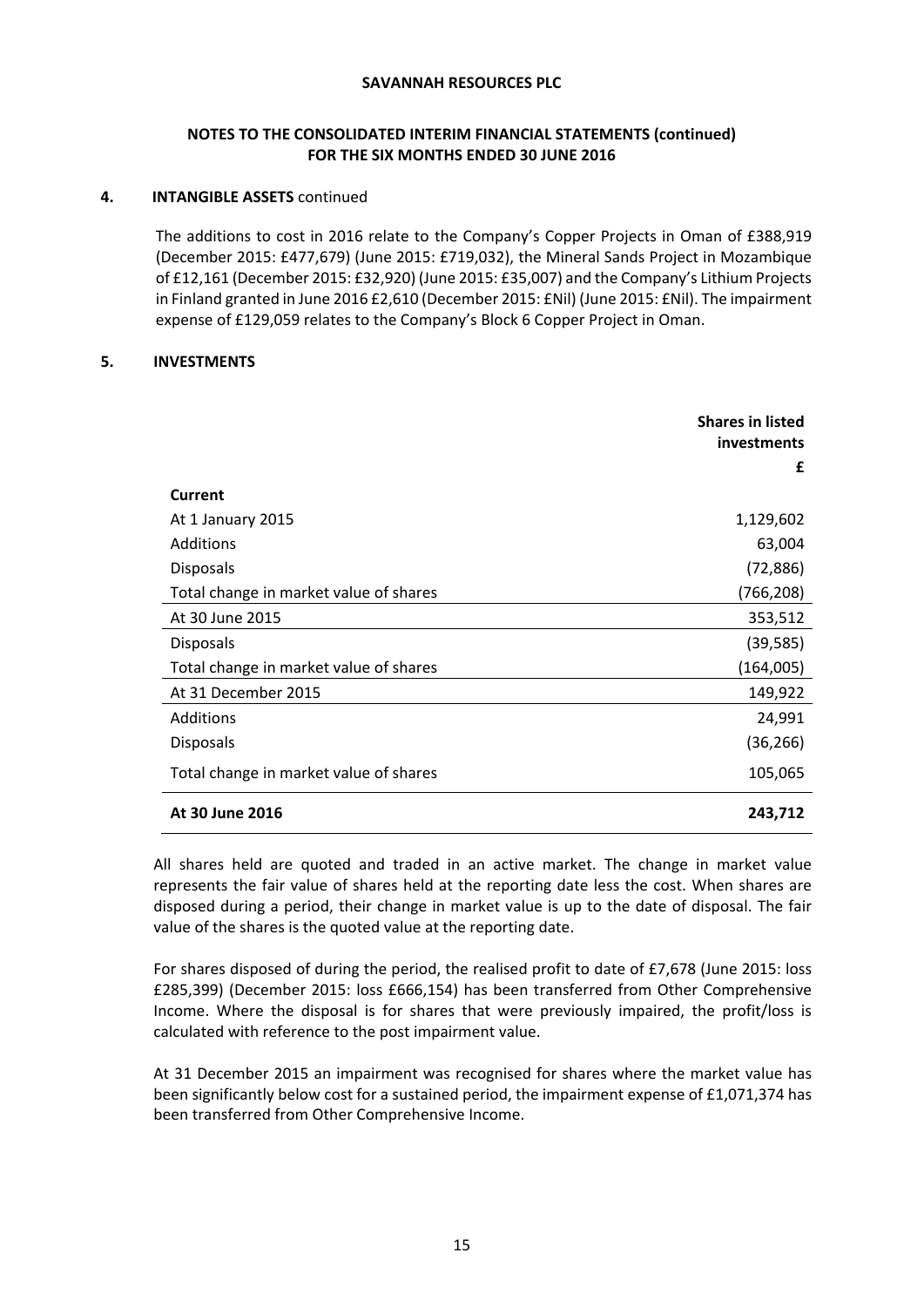# **NOTES TO THE CONSOLIDATED INTERIM FINANCIAL STATEMENTS (continued) FOR THE SIX MONTHS ENDED 30 JUNE 2016**

### **4. INTANGIBLE ASSETS** continued

The additions to cost in 2016 relate to the Company's Copper Projects in Oman of £388,919 (December 2015: £477,679) (June 2015: £719,032), the Mineral Sands Project in Mozambique of £12,161 (December 2015: £32,920) (June 2015: £35,007) and the Company's Lithium Projects in Finland granted in June 2016 £2,610 (December 2015: £Nil) (June 2015: £Nil). The impairment expense of £129,059 relates to the Company's Block 6 Copper Project in Oman.

### **5. INVESTMENTS**

|                                        | <b>Shares in listed</b><br>investments<br>£ |
|----------------------------------------|---------------------------------------------|
| Current                                |                                             |
| At 1 January 2015                      | 1,129,602                                   |
| Additions                              | 63,004                                      |
| <b>Disposals</b>                       | (72, 886)                                   |
| Total change in market value of shares | (766, 208)                                  |
| At 30 June 2015                        | 353,512                                     |
| <b>Disposals</b>                       | (39, 585)                                   |
| Total change in market value of shares | (164,005)                                   |
| At 31 December 2015                    | 149,922                                     |
| Additions                              | 24,991                                      |
| <b>Disposals</b>                       | (36, 266)                                   |
| Total change in market value of shares | 105,065                                     |
| At 30 June 2016                        | 243,712                                     |

All shares held are quoted and traded in an active market. The change in market value represents the fair value of shares held at the reporting date less the cost. When shares are disposed during a period, their change in market value is up to the date of disposal. The fair value of the shares is the quoted value at the reporting date.

For shares disposed of during the period, the realised profit to date of £7,678 (June 2015: loss £285,399) (December 2015: loss £666,154) has been transferred from Other Comprehensive Income. Where the disposal is for shares that were previously impaired, the profit/loss is calculated with reference to the post impairment value.

At 31 December 2015 an impairment was recognised for shares where the market value has been significantly below cost for a sustained period, the impairment expense of £1,071,374 has been transferred from Other Comprehensive Income.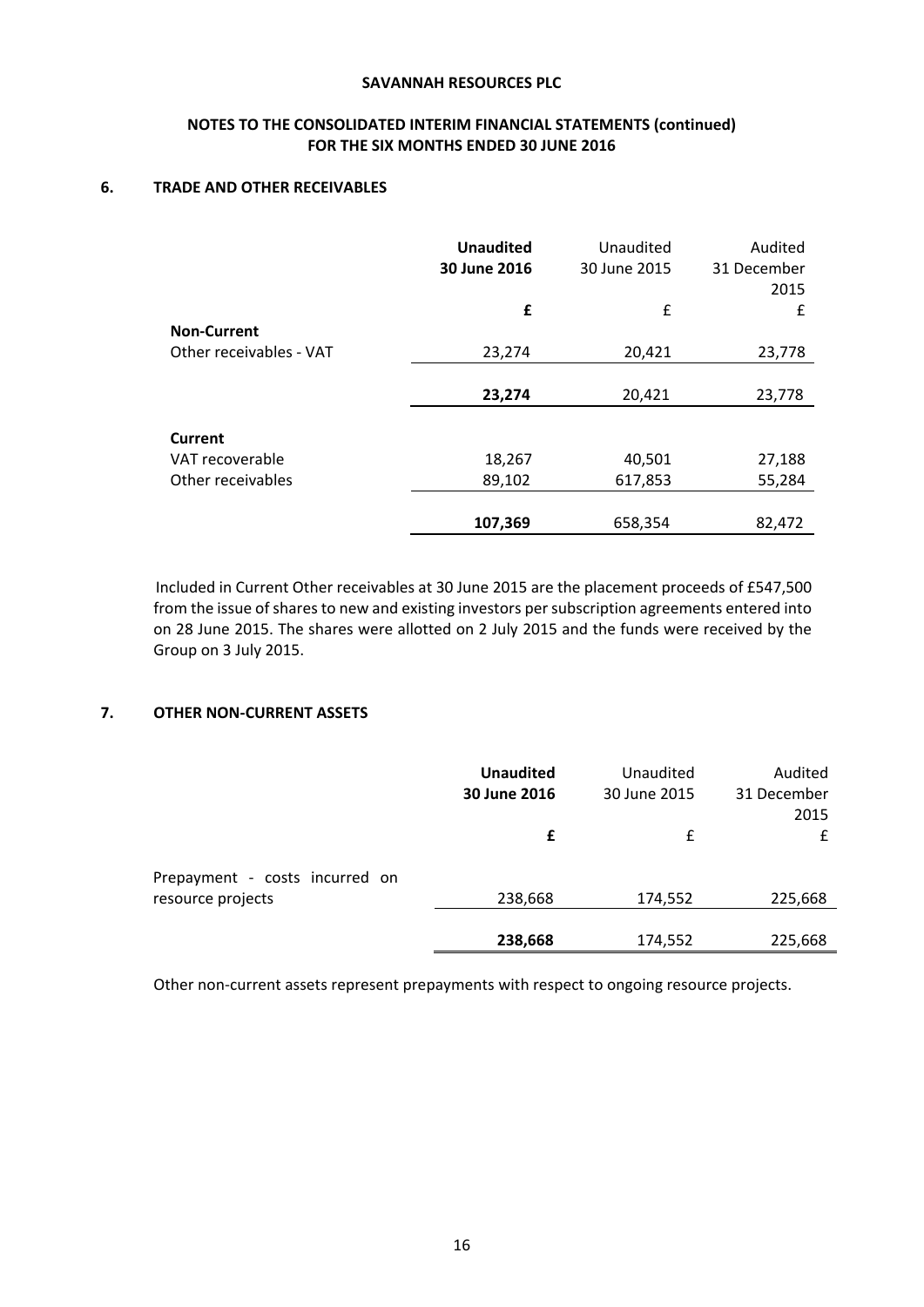# **NOTES TO THE CONSOLIDATED INTERIM FINANCIAL STATEMENTS (continued) FOR THE SIX MONTHS ENDED 30 JUNE 2016**

### **6. TRADE AND OTHER RECEIVABLES**

|                         | <b>Unaudited</b><br>30 June 2016 | Unaudited<br>30 June 2015 | Audited<br>31 December<br>2015 |
|-------------------------|----------------------------------|---------------------------|--------------------------------|
|                         | £                                | £                         | £                              |
| <b>Non-Current</b>      |                                  |                           |                                |
| Other receivables - VAT | 23,274                           | 20,421                    | 23,778                         |
|                         |                                  |                           |                                |
|                         | 23,274                           | 20,421                    | 23,778                         |
| <b>Current</b>          |                                  |                           |                                |
| VAT recoverable         | 18,267                           | 40,501                    | 27,188                         |
| Other receivables       | 89,102                           | 617,853                   | 55,284                         |
|                         |                                  |                           |                                |
|                         | 107,369                          | 658,354                   | 82,472                         |

Included in Current Other receivables at 30 June 2015 are the placement proceeds of £547,500 from the issue of shares to new and existing investors per subscription agreements entered into on 28 June 2015. The shares were allotted on 2 July 2015 and the funds were received by the Group on 3 July 2015.

# **7. OTHER NON‐CURRENT ASSETS**

|                                | <b>Unaudited</b><br>30 June 2016 | Unaudited<br>30 June 2015 | Audited<br>31 December<br>2015 |
|--------------------------------|----------------------------------|---------------------------|--------------------------------|
|                                | £                                | f                         |                                |
| Prepayment - costs incurred on |                                  |                           |                                |
| resource projects              | 238,668                          | 174,552                   | 225,668                        |
|                                |                                  |                           |                                |
|                                | 238,668                          | 174,552                   | 225,668                        |

Other non-current assets represent prepayments with respect to ongoing resource projects.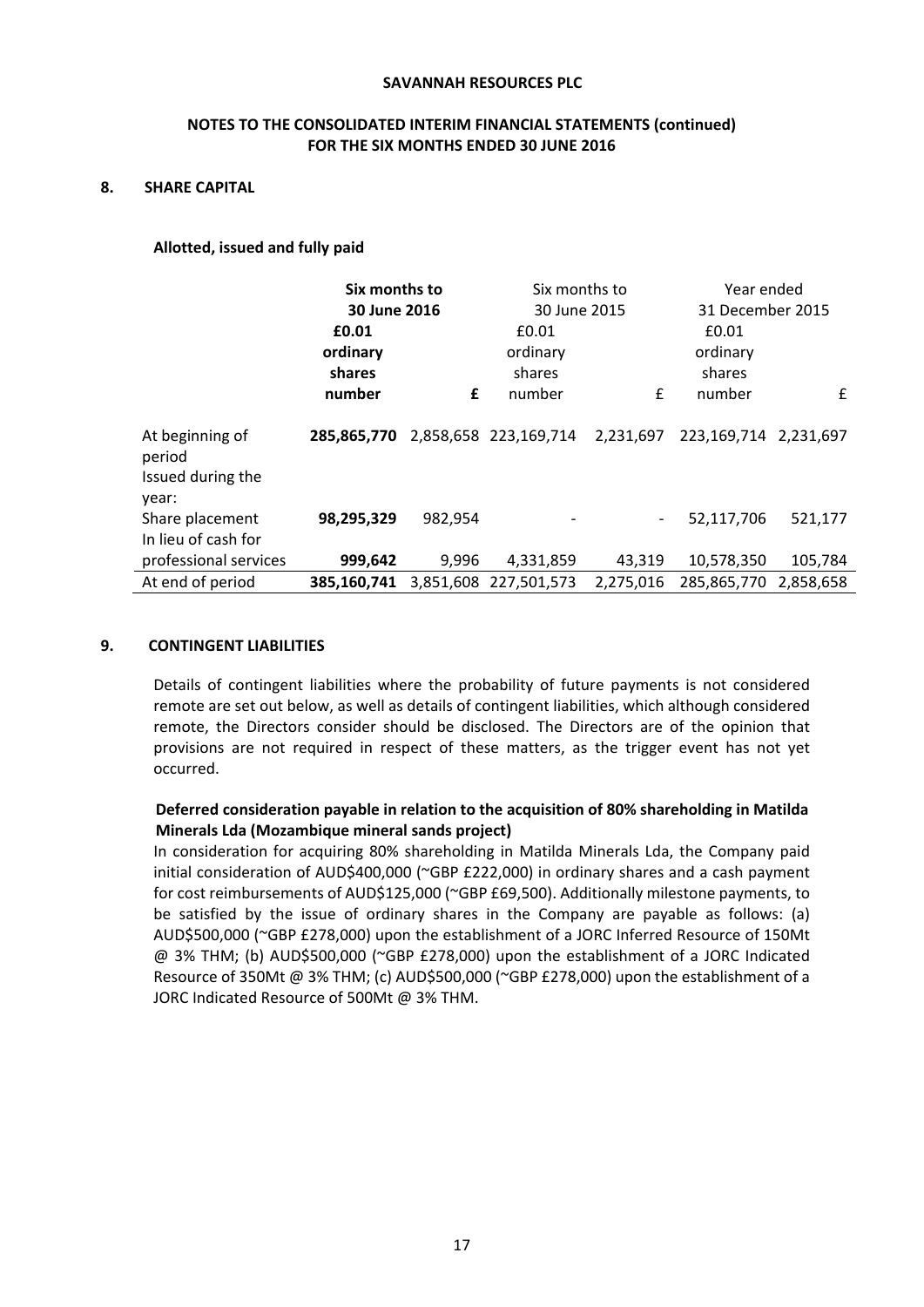# **NOTES TO THE CONSOLIDATED INTERIM FINANCIAL STATEMENTS (continued) FOR THE SIX MONTHS ENDED 30 JUNE 2016**

### **8. SHARE CAPITAL**

### **Allotted, issued and fully paid**

|                                                         | Six months to<br>30 June 2016 |         | Six months to<br>30 June 2015 |           | Year ended<br>31 December 2015 |           |
|---------------------------------------------------------|-------------------------------|---------|-------------------------------|-----------|--------------------------------|-----------|
|                                                         |                               |         |                               |           |                                |           |
|                                                         | £0.01                         | £0.01   |                               | £0.01     |                                |           |
|                                                         | ordinary                      |         | ordinary                      |           | ordinary                       |           |
|                                                         | shares                        |         | shares                        |           | shares                         |           |
|                                                         | number                        | £       | number                        | £         | number                         | £         |
| At beginning of<br>period<br>Issued during the<br>year: | 285.865.770                   |         | 2,858,658 223,169,714         | 2,231,697 | 223,169,714 2,231,697          |           |
| Share placement<br>In lieu of cash for                  | 98,295,329                    | 982,954 |                               |           | 52,117,706                     | 521,177   |
| professional services                                   | 999,642                       | 9,996   | 4,331,859                     | 43,319    | 10,578,350                     | 105,784   |
| At end of period                                        | 385.160.741                   |         | 3,851,608 227,501,573         | 2,275,016 | 285,865,770                    | 2,858,658 |

#### **9. CONTINGENT LIABILITIES**

Details of contingent liabilities where the probability of future payments is not considered remote are set out below, as well as details of contingent liabilities, which although considered remote, the Directors consider should be disclosed. The Directors are of the opinion that provisions are not required in respect of these matters, as the trigger event has not yet occurred.

# **Deferred consideration payable in relation to the acquisition of 80% shareholding in Matilda Minerals Lda (Mozambique mineral sands project)**

In consideration for acquiring 80% shareholding in Matilda Minerals Lda, the Company paid initial consideration of AUD\$400,000 (~GBP £222,000) in ordinary shares and a cash payment for cost reimbursements of AUD\$125,000 (~GBP £69,500). Additionally milestone payments, to be satisfied by the issue of ordinary shares in the Company are payable as follows: (a) AUD\$500,000 (~GBP £278,000) upon the establishment of a JORC Inferred Resource of 150Mt @ 3% THM; (b) AUD\$500,000 (~GBP £278,000) upon the establishment of a JORC Indicated Resource of 350Mt @ 3% THM; (c) AUD\$500,000 (~GBP £278,000) upon the establishment of a JORC Indicated Resource of 500Mt @ 3% THM.